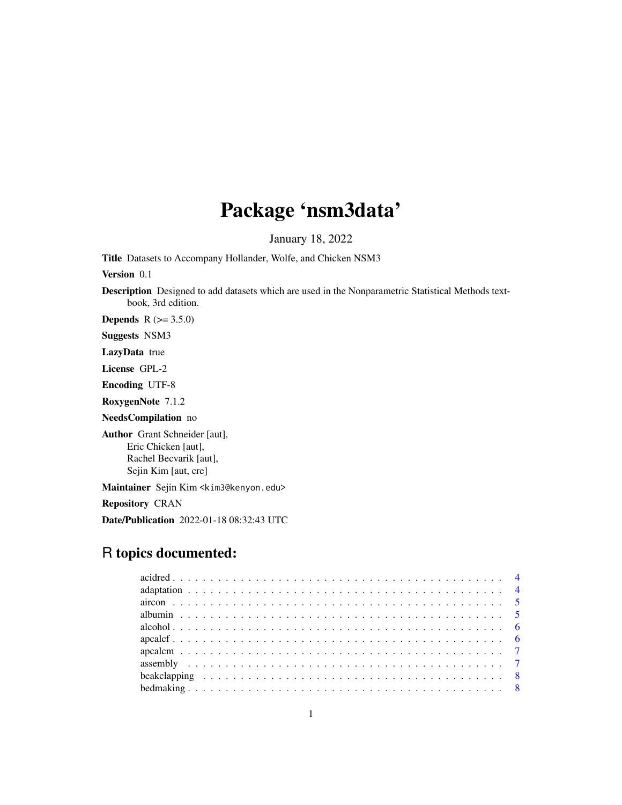# Package 'nsm3data'

January 18, 2022

Title Datasets to Accompany Hollander, Wolfe, and Chicken NSM3

Version 0.1

Description Designed to add datasets which are used in the Nonparametric Statistical Methods textbook, 3rd edition.

**Depends**  $R (= 3.5.0)$ 

Suggests NSM3

LazyData true

License GPL-2

Encoding UTF-8

RoxygenNote 7.1.2

NeedsCompilation no

Author Grant Schneider [aut], Eric Chicken [aut], Rachel Becvarik [aut], Sejin Kim [aut, cre]

Maintainer Sejin Kim <kim3@kenyon.edu>

Repository CRAN

Date/Publication 2022-01-18 08:32:43 UTC

# R topics documented: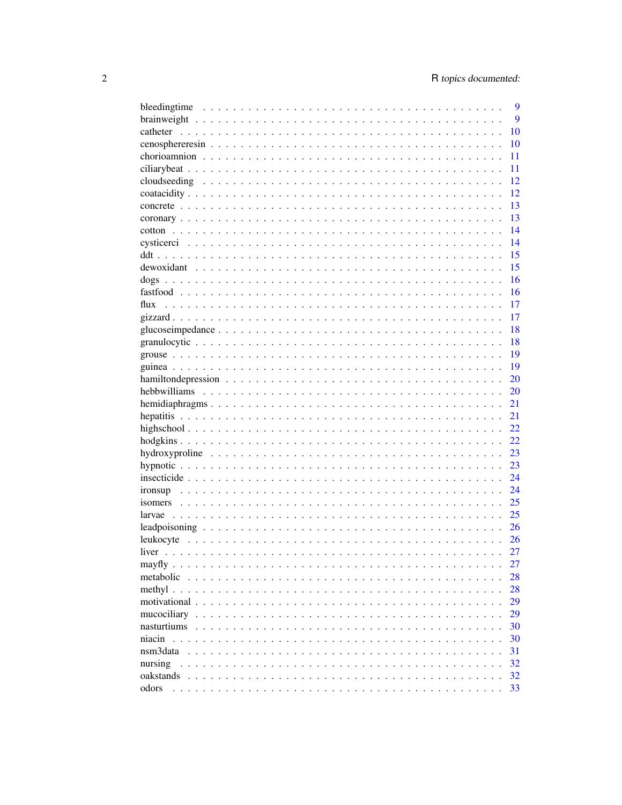|                                   | 9   |
|-----------------------------------|-----|
|                                   | 9   |
| catheter                          | 10  |
|                                   | 10  |
|                                   | 11  |
|                                   | 11  |
|                                   | 12  |
|                                   | 12  |
|                                   | 13  |
|                                   | 13  |
|                                   | 14  |
|                                   | 14  |
|                                   | 15  |
|                                   | 15  |
|                                   | 16  |
|                                   | 16  |
|                                   | 17  |
|                                   | 17  |
|                                   | 18  |
|                                   | 18  |
|                                   | 19  |
|                                   | 19  |
|                                   | 20  |
|                                   | 20  |
|                                   | 21  |
|                                   | 21  |
|                                   | 22. |
|                                   | 22  |
|                                   | 23  |
|                                   | 23  |
|                                   | 24  |
|                                   | 24  |
|                                   | 25  |
|                                   | 25  |
|                                   | 26  |
|                                   | 26  |
|                                   | 27  |
| mayfly                            | 27  |
| metabolic<br>$\ddot{\phantom{0}}$ | 28  |
| methyl.                           | 28  |
| motivational                      | 29  |
| mucociliary                       | 29  |
| nasturtiums                       | 30  |
| niacin                            | 30  |
| nsm3data                          | 31  |
| nursing                           | 32  |
| oakstands                         | 32  |
| odors                             | 33  |
|                                   |     |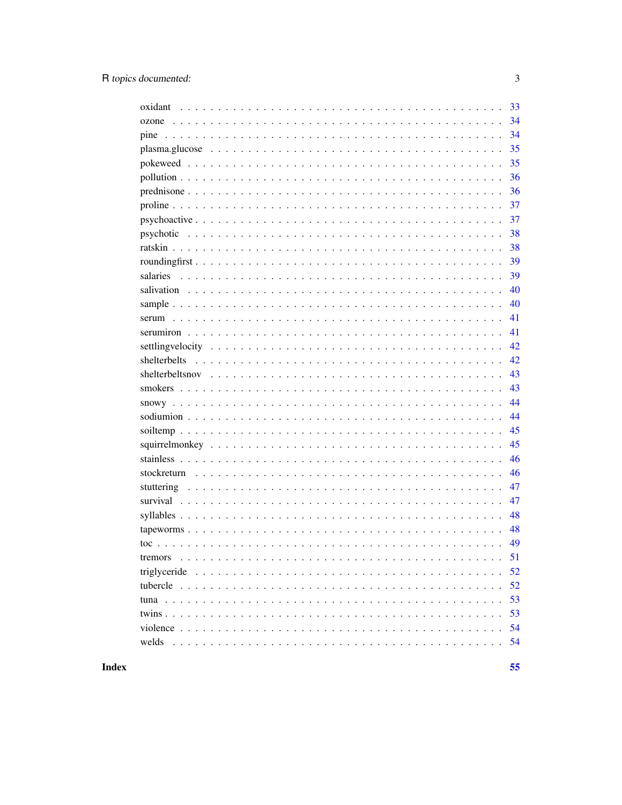| oxidant | 33 |
|---------|----|
|         | 34 |
| pine    | 34 |
|         | 35 |
|         | 35 |
|         | 36 |
|         | 36 |
|         | 37 |
|         | 37 |
|         | 38 |
|         | 38 |
|         | 39 |
|         | 39 |
|         | 40 |
|         | 40 |
|         | 41 |
|         | 41 |
|         | 42 |
|         | 42 |
|         | 43 |
|         | 43 |
|         | 44 |
|         | 44 |
|         | 45 |
|         | 45 |
|         | 46 |
|         | 46 |
|         | 47 |
|         | 47 |
|         | 48 |
|         | 48 |
|         | 49 |
| tremors | 51 |
|         | 52 |
|         | 52 |
|         | 53 |
|         | 53 |
|         | 54 |
| welds   | 54 |
|         |    |

**Index** 

 $\overline{3}$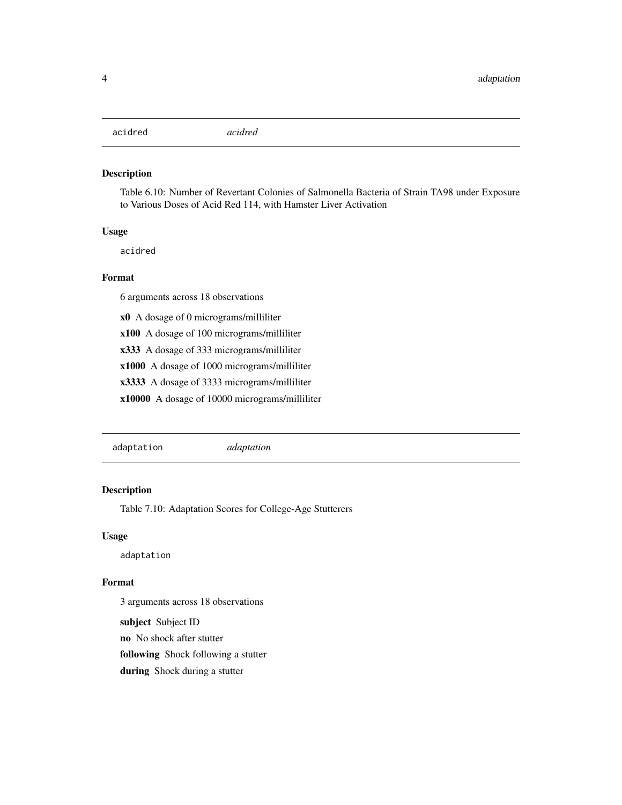# <span id="page-3-0"></span>acidred *acidred*

#### Description

Table 6.10: Number of Revertant Colonies of Salmonella Bacteria of Strain TA98 under Exposure to Various Doses of Acid Red 114, with Hamster Liver Activation

#### Usage

acidred

# Format

6 arguments across 18 observations

x0 A dosage of 0 micrograms/milliliter

x100 A dosage of 100 micrograms/milliliter

x333 A dosage of 333 micrograms/milliliter

x1000 A dosage of 1000 micrograms/milliliter

x3333 A dosage of 3333 micrograms/milliliter

x10000 A dosage of 10000 micrograms/milliliter

adaptation *adaptation*

# Description

Table 7.10: Adaptation Scores for College-Age Stutterers

#### Usage

adaptation

#### Format

3 arguments across 18 observations

subject Subject ID

no No shock after stutter

following Shock following a stutter

during Shock during a stutter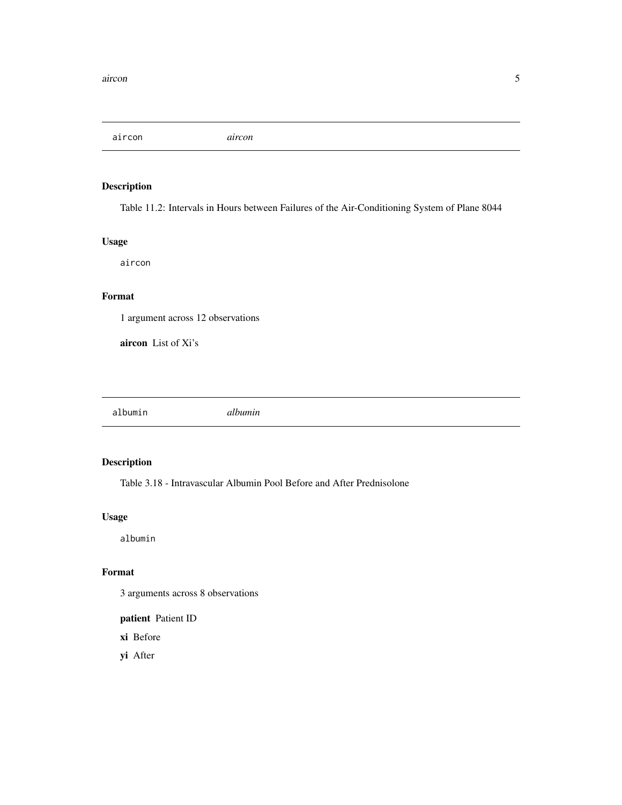<span id="page-4-0"></span>aircon *aircon*

# Description

Table 11.2: Intervals in Hours between Failures of the Air-Conditioning System of Plane 8044

# Usage

aircon

# Format

1 argument across 12 observations

aircon List of Xi's

albumin *albumin*

# Description

Table 3.18 - Intravascular Albumin Pool Before and After Prednisolone

# Usage

albumin

#### Format

3 arguments across 8 observations

patient Patient ID

xi Before

yi After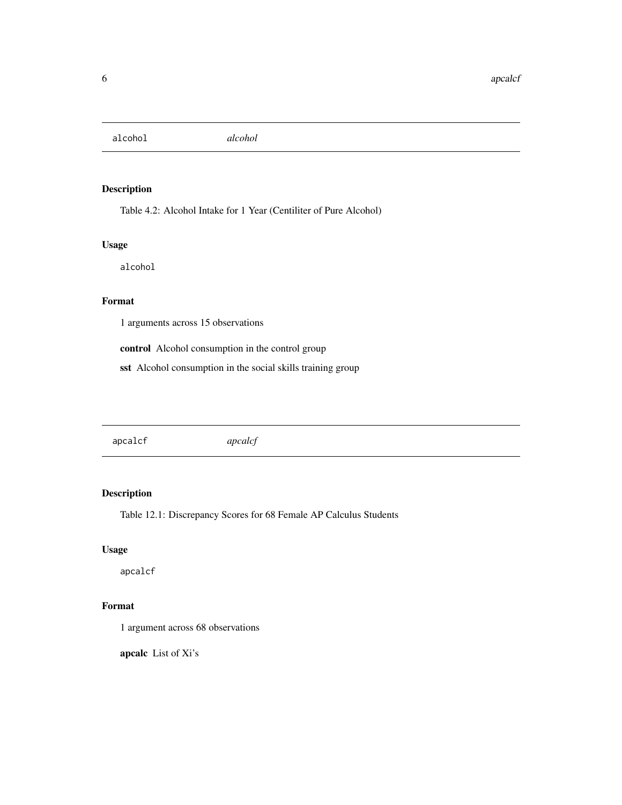<span id="page-5-0"></span>alcohol *alcohol*

# Description

Table 4.2: Alcohol Intake for 1 Year (Centiliter of Pure Alcohol)

# Usage

alcohol

# Format

1 arguments across 15 observations

control Alcohol consumption in the control group

sst Alcohol consumption in the social skills training group

apcalcf *apcalcf*

# Description

Table 12.1: Discrepancy Scores for 68 Female AP Calculus Students

# Usage

apcalcf

# Format

1 argument across 68 observations

apcalc List of Xi's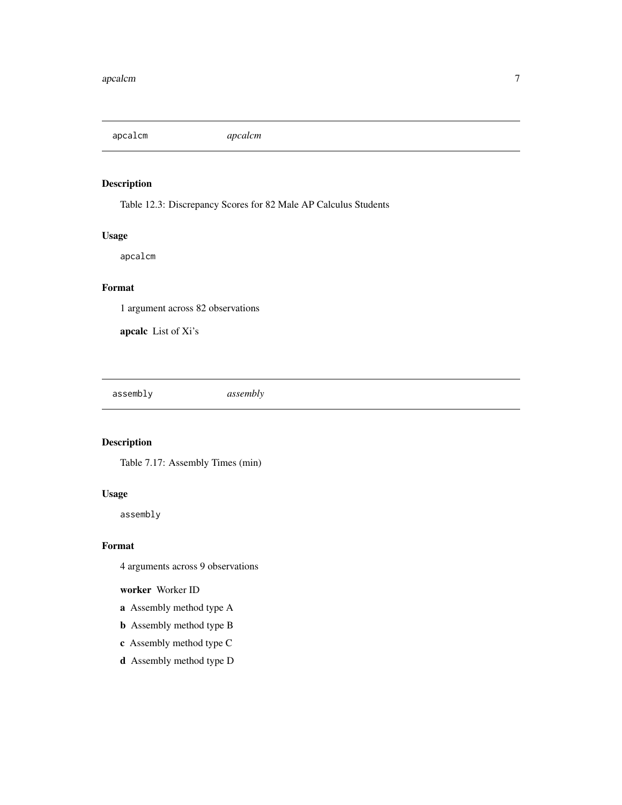<span id="page-6-0"></span>apcalcm *apcalcm*

# Description

Table 12.3: Discrepancy Scores for 82 Male AP Calculus Students

# Usage

apcalcm

# Format

1 argument across 82 observations

apcalc List of Xi's

assembly *assembly*

# Description

Table 7.17: Assembly Times (min)

# Usage

assembly

#### Format

4 arguments across 9 observations

# worker Worker ID

- a Assembly method type A
- b Assembly method type B
- c Assembly method type C
- d Assembly method type D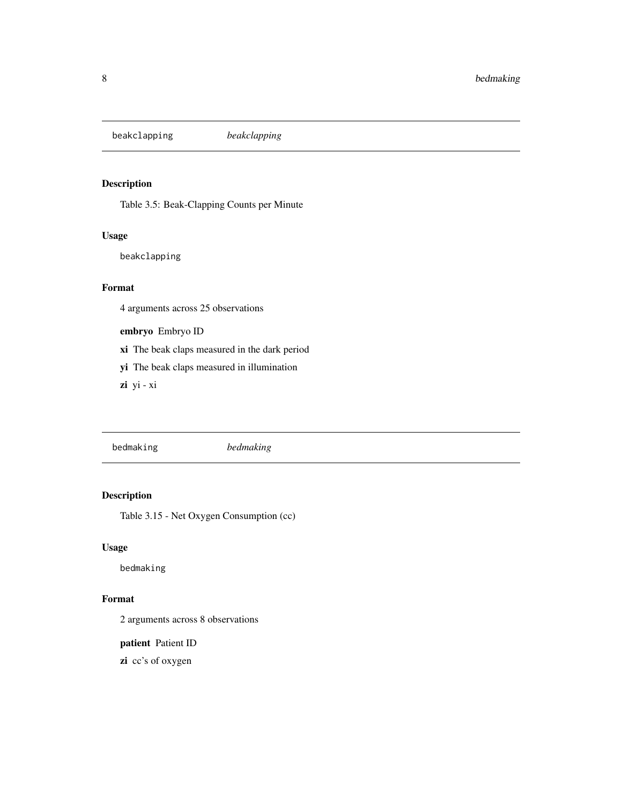<span id="page-7-0"></span>beakclapping *beakclapping*

# Description

Table 3.5: Beak-Clapping Counts per Minute

# Usage

beakclapping

#### Format

4 arguments across 25 observations

embryo Embryo ID

xi The beak claps measured in the dark period

yi The beak claps measured in illumination

zi yi - xi

bedmaking *bedmaking*

# Description

Table 3.15 - Net Oxygen Consumption (cc)

#### Usage

bedmaking

# Format

2 arguments across 8 observations

patient Patient ID

zi cc's of oxygen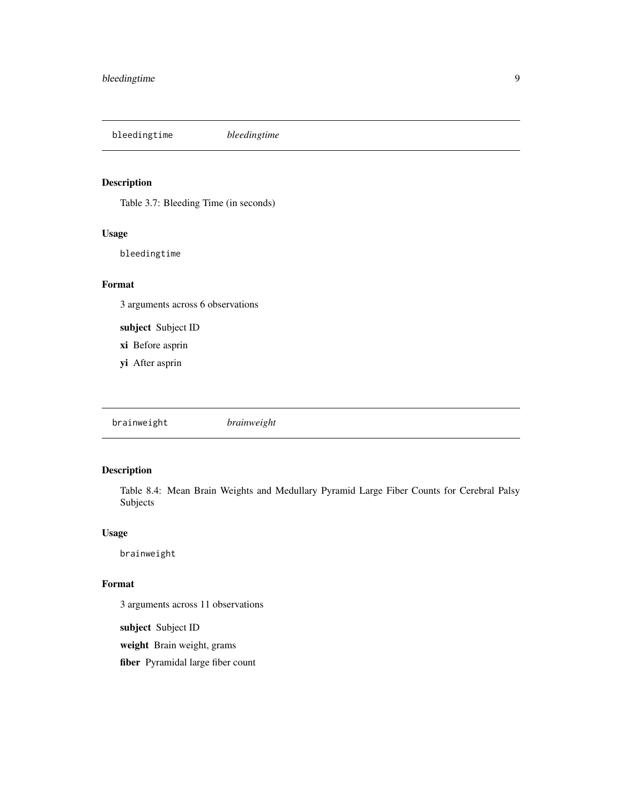<span id="page-8-0"></span>bleedingtime *bleedingtime*

# Description

Table 3.7: Bleeding Time (in seconds)

# Usage

bleedingtime

# Format

3 arguments across 6 observations

subject Subject ID

xi Before asprin

yi After asprin

brainweight *brainweight*

# Description

Table 8.4: Mean Brain Weights and Medullary Pyramid Large Fiber Counts for Cerebral Palsy Subjects

#### Usage

brainweight

### Format

3 arguments across 11 observations

subject Subject ID

weight Brain weight, grams

fiber Pyramidal large fiber count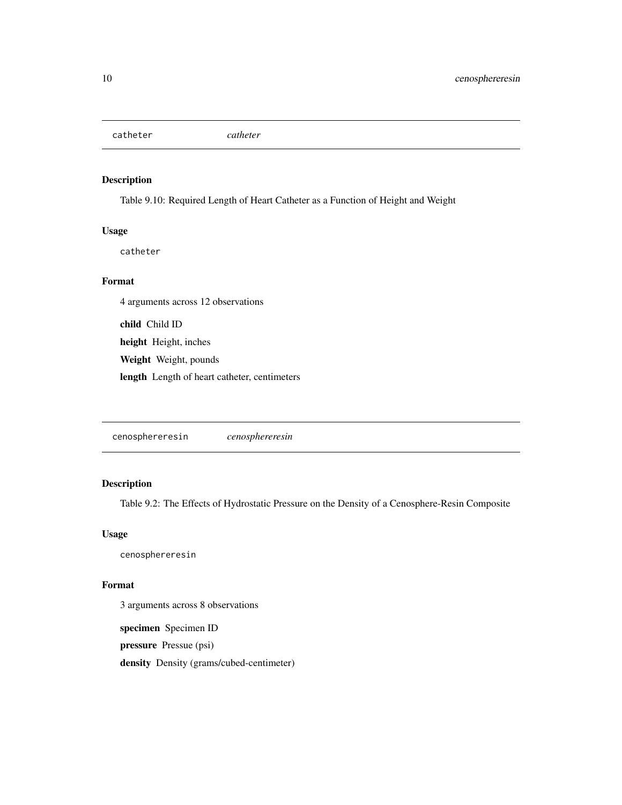<span id="page-9-0"></span>catheter *catheter*

# Description

Table 9.10: Required Length of Heart Catheter as a Function of Height and Weight

# Usage

catheter

#### Format

4 arguments across 12 observations

child Child ID height Height, inches Weight Weight, pounds length Length of heart catheter, centimeters

cenosphereresin *cenosphereresin*

# Description

Table 9.2: The Effects of Hydrostatic Pressure on the Density of a Cenosphere-Resin Composite

#### Usage

cenosphereresin

## Format

3 arguments across 8 observations

specimen Specimen ID

pressure Pressue (psi)

density Density (grams/cubed-centimeter)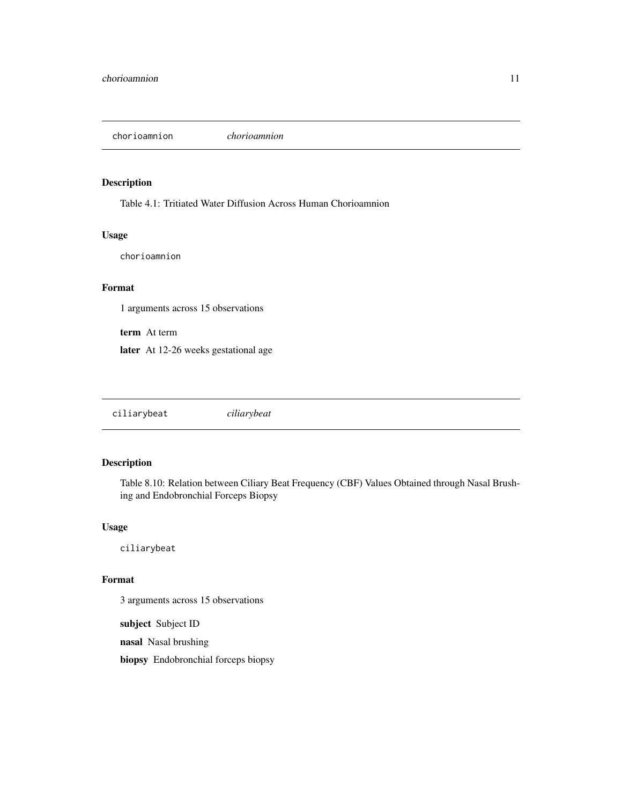<span id="page-10-0"></span>chorioamnion *chorioamnion*

# Description

Table 4.1: Tritiated Water Diffusion Across Human Chorioamnion

#### Usage

chorioamnion

#### Format

1 arguments across 15 observations

term At term

later At 12-26 weeks gestational age

ciliarybeat *ciliarybeat*

# Description

Table 8.10: Relation between Ciliary Beat Frequency (CBF) Values Obtained through Nasal Brushing and Endobronchial Forceps Biopsy

#### Usage

ciliarybeat

#### Format

3 arguments across 15 observations

subject Subject ID

nasal Nasal brushing

biopsy Endobronchial forceps biopsy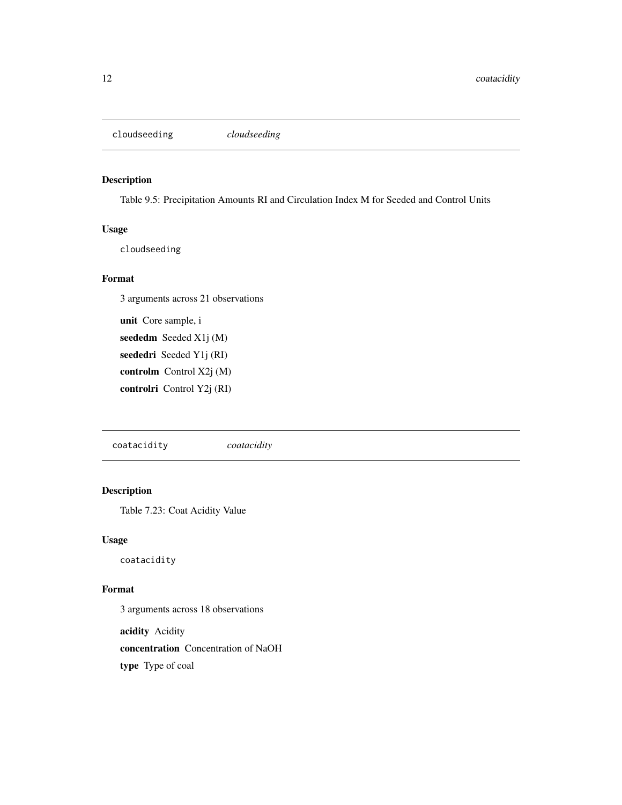<span id="page-11-0"></span>cloudseeding *cloudseeding*

# Description

Table 9.5: Precipitation Amounts RI and Circulation Index M for Seeded and Control Units

# Usage

cloudseeding

#### Format

3 arguments across 21 observations

unit Core sample, i seededm Seeded X1j (M) seededri Seeded Y1j (RI) controlm Control X2j (M) controlri Control Y2j (RI)

coatacidity *coatacidity*

#### Description

Table 7.23: Coat Acidity Value

# Usage

coatacidity

# Format

3 arguments across 18 observations

acidity Acidity

concentration Concentration of NaOH

type Type of coal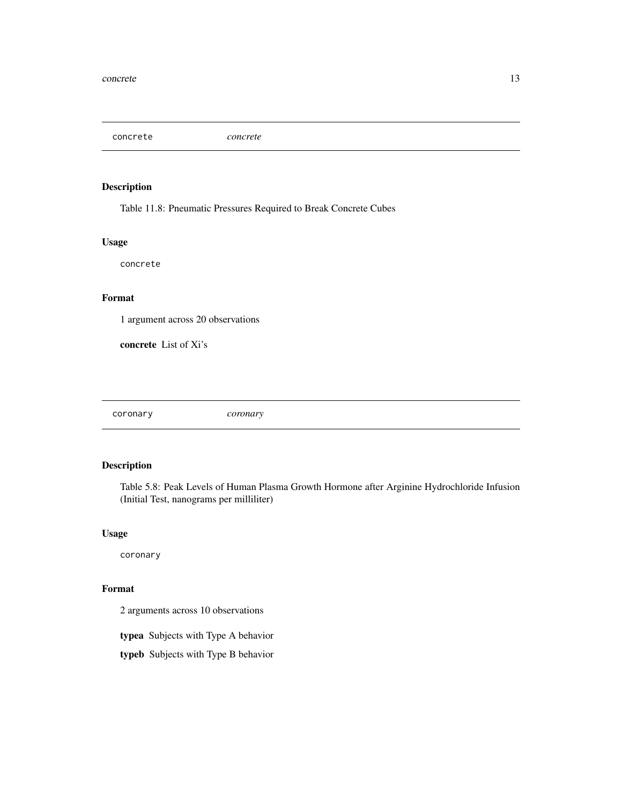<span id="page-12-0"></span>concrete *concrete*

# Description

Table 11.8: Pneumatic Pressures Required to Break Concrete Cubes

# Usage

concrete

# Format

1 argument across 20 observations

concrete List of Xi's

coronary *coronary*

# Description

Table 5.8: Peak Levels of Human Plasma Growth Hormone after Arginine Hydrochloride Infusion (Initial Test, nanograms per milliliter)

#### Usage

coronary

# Format

2 arguments across 10 observations

typea Subjects with Type A behavior

typeb Subjects with Type B behavior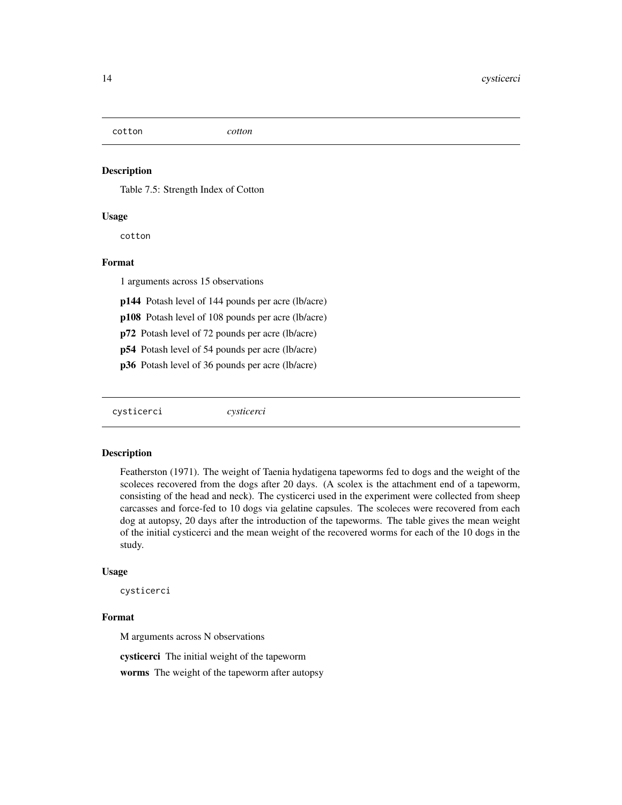<span id="page-13-0"></span>cotton *cotton*

#### Description

Table 7.5: Strength Index of Cotton

#### Usage

cotton

# Format

1 arguments across 15 observations

p144 Potash level of 144 pounds per acre (lb/acre)

p108 Potash level of 108 pounds per acre (lb/acre)

p72 Potash level of 72 pounds per acre (lb/acre)

p54 Potash level of 54 pounds per acre (lb/acre)

p36 Potash level of 36 pounds per acre (lb/acre)

cysticerci *cysticerci*

#### Description

Featherston (1971). The weight of Taenia hydatigena tapeworms fed to dogs and the weight of the scoleces recovered from the dogs after 20 days. (A scolex is the attachment end of a tapeworm, consisting of the head and neck). The cysticerci used in the experiment were collected from sheep carcasses and force-fed to 10 dogs via gelatine capsules. The scoleces were recovered from each dog at autopsy, 20 days after the introduction of the tapeworms. The table gives the mean weight of the initial cysticerci and the mean weight of the recovered worms for each of the 10 dogs in the study.

#### Usage

cysticerci

#### Format

M arguments across N observations

cysticerci The initial weight of the tapeworm

worms The weight of the tapeworm after autopsy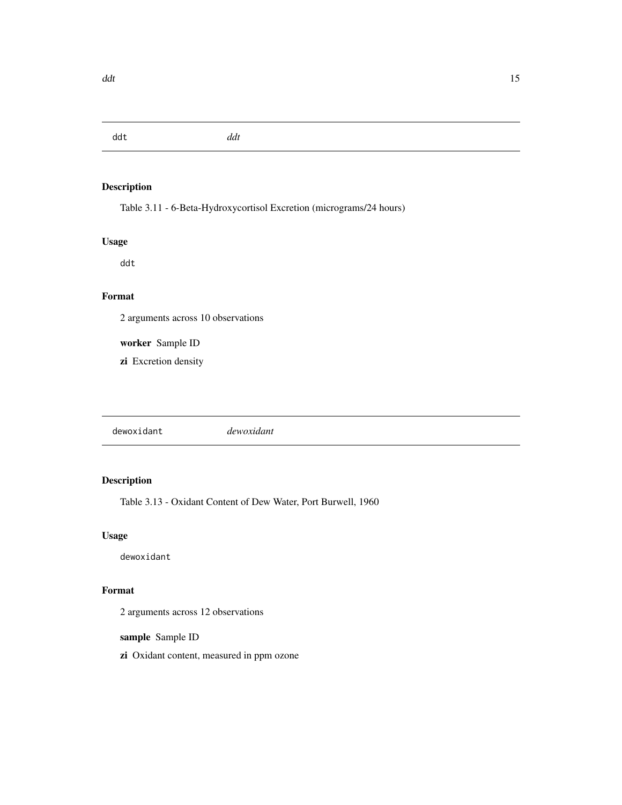<span id="page-14-0"></span>ddt *ddt*

# Description

Table 3.11 - 6-Beta-Hydroxycortisol Excretion (micrograms/24 hours)

# Usage

ddt

# Format

2 arguments across 10 observations

worker Sample ID

zi Excretion density

dewoxidant *dewoxidant*

# Description

Table 3.13 - Oxidant Content of Dew Water, Port Burwell, 1960

# Usage

dewoxidant

# Format

2 arguments across 12 observations

sample Sample ID

zi Oxidant content, measured in ppm ozone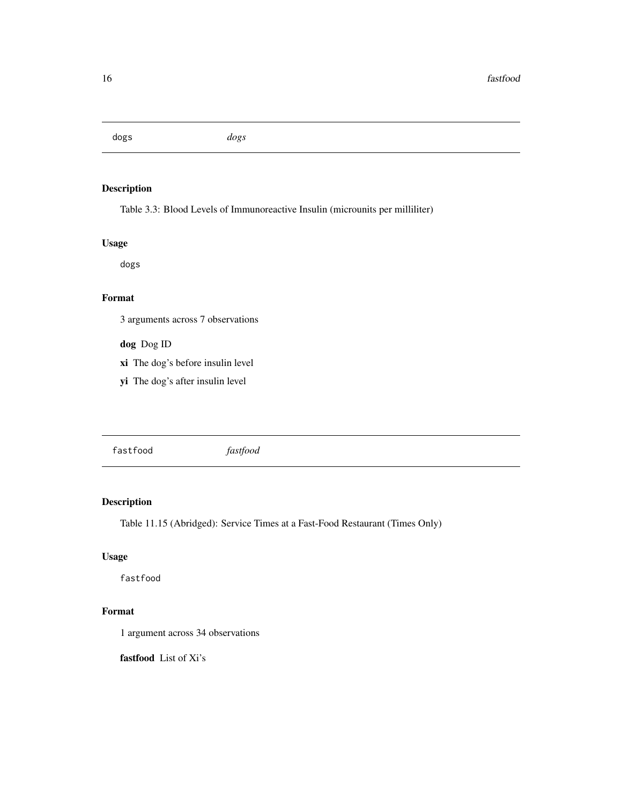<span id="page-15-0"></span>dogs *dogs*

# Description

Table 3.3: Blood Levels of Immunoreactive Insulin (microunits per milliliter)

# Usage

dogs

# Format

3 arguments across 7 observations

dog Dog ID

xi The dog's before insulin level

yi The dog's after insulin level

fastfood *fastfood*

# Description

Table 11.15 (Abridged): Service Times at a Fast-Food Restaurant (Times Only)

# Usage

fastfood

# Format

1 argument across 34 observations

fastfood List of Xi's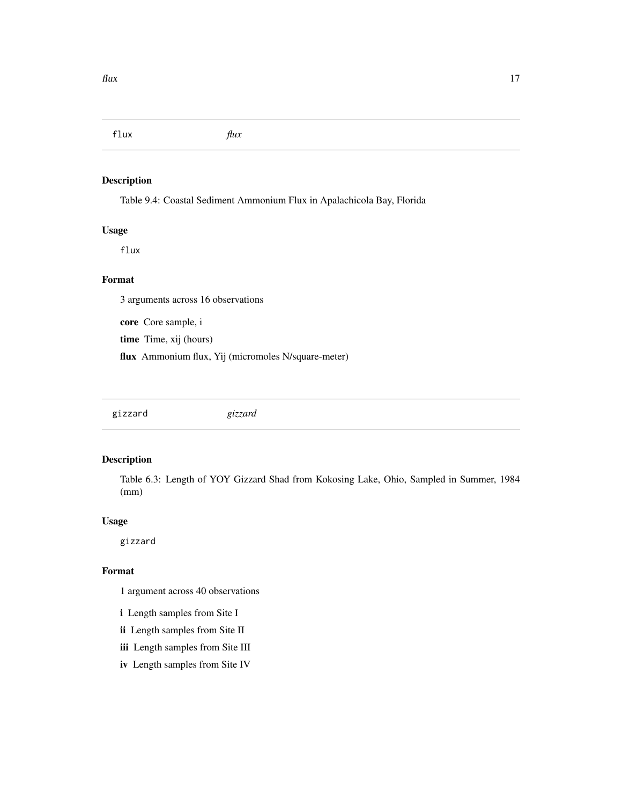<span id="page-16-0"></span>flux *flux*

# Description

Table 9.4: Coastal Sediment Ammonium Flux in Apalachicola Bay, Florida

#### Usage

flux

# Format

3 arguments across 16 observations

core Core sample, i

time Time, xij (hours)

flux Ammonium flux, Yij (micromoles N/square-meter)

gizzard *gizzard*

## Description

Table 6.3: Length of YOY Gizzard Shad from Kokosing Lake, Ohio, Sampled in Summer, 1984 (mm)

#### Usage

gizzard

#### Format

1 argument across 40 observations

- i Length samples from Site I
- ii Length samples from Site II
- iii Length samples from Site III
- iv Length samples from Site IV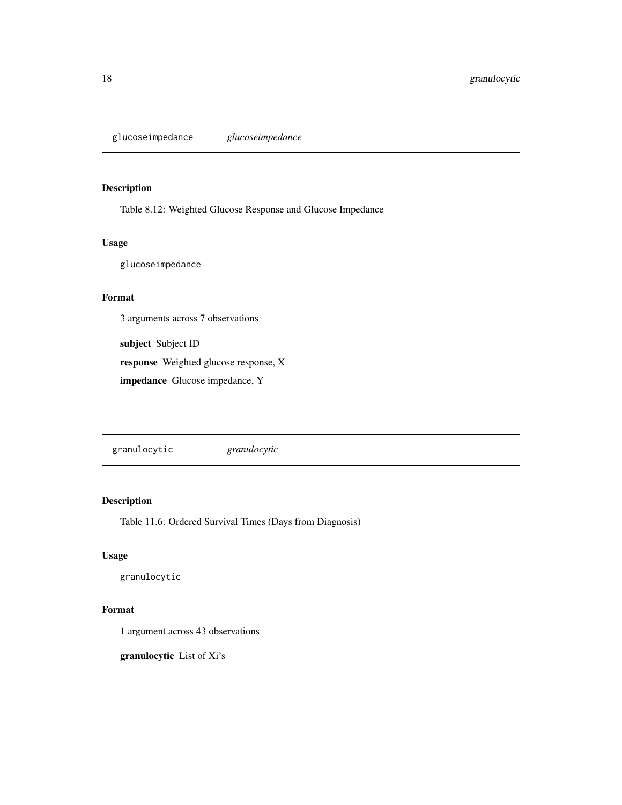<span id="page-17-0"></span>glucoseimpedance *glucoseimpedance*

# Description

Table 8.12: Weighted Glucose Response and Glucose Impedance

#### Usage

glucoseimpedance

# Format

3 arguments across 7 observations

subject Subject ID

response Weighted glucose response, X

impedance Glucose impedance, Y

granulocytic *granulocytic*

# Description

Table 11.6: Ordered Survival Times (Days from Diagnosis)

# Usage

granulocytic

# Format

1 argument across 43 observations

granulocytic List of Xi's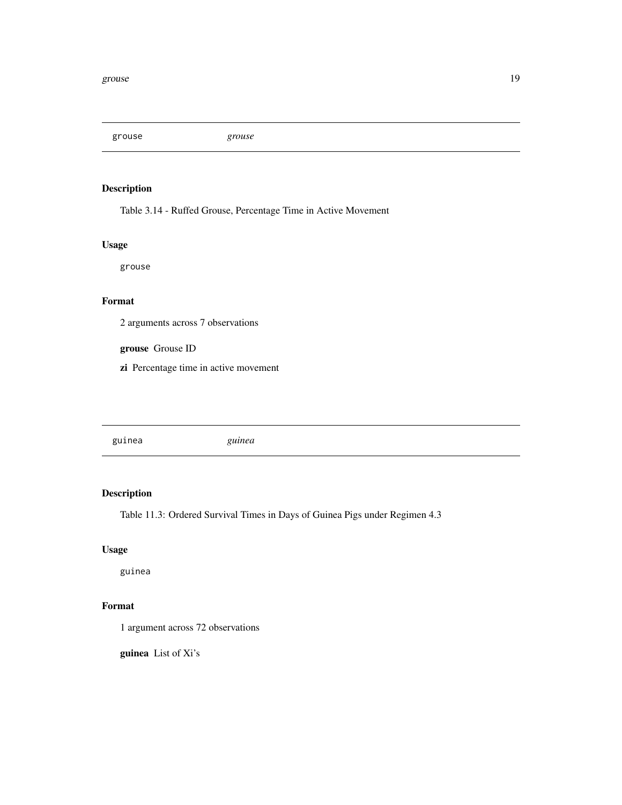<span id="page-18-0"></span>grouse *grouse*

# Description

Table 3.14 - Ruffed Grouse, Percentage Time in Active Movement

# Usage

grouse

#### Format

2 arguments across 7 observations

grouse Grouse ID

zi Percentage time in active movement

guinea *guinea*

# Description

Table 11.3: Ordered Survival Times in Days of Guinea Pigs under Regimen 4.3

# Usage

guinea

# Format

1 argument across 72 observations

guinea List of Xi's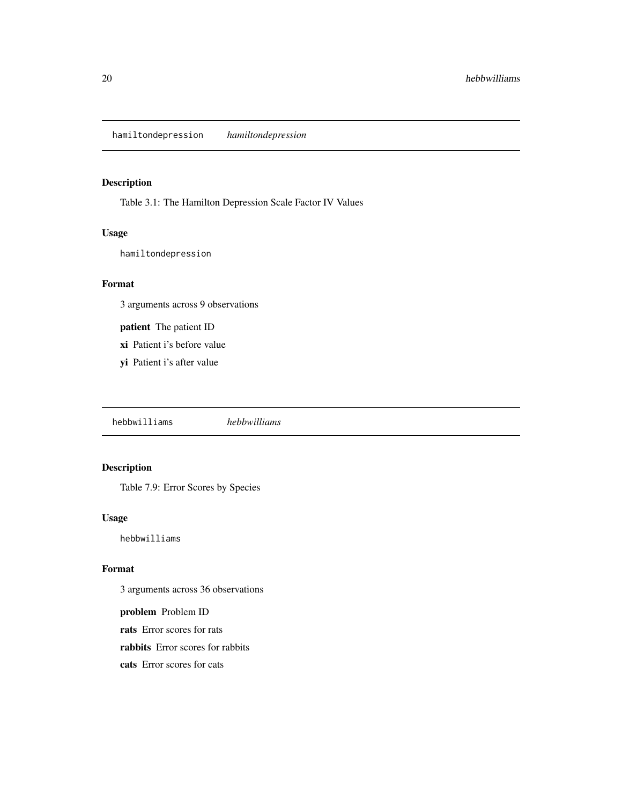<span id="page-19-0"></span>hamiltondepression *hamiltondepression*

# Description

Table 3.1: The Hamilton Depression Scale Factor IV Values

#### Usage

hamiltondepression

#### Format

3 arguments across 9 observations

patient The patient ID

- xi Patient i's before value
- yi Patient i's after value

hebbwilliams *hebbwilliams*

# Description

Table 7.9: Error Scores by Species

# Usage

hebbwilliams

#### Format

3 arguments across 36 observations

problem Problem ID

rats Error scores for rats

rabbits Error scores for rabbits

cats Error scores for cats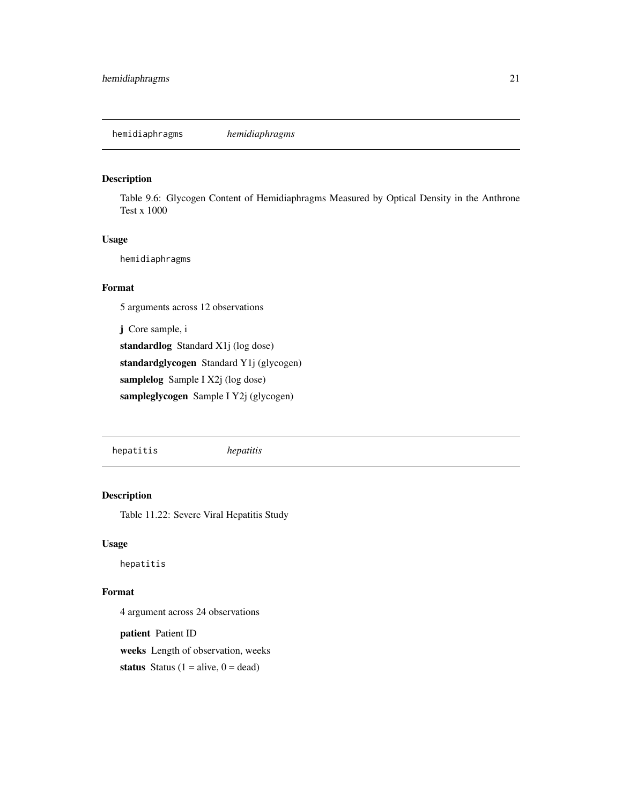# <span id="page-20-0"></span>Description

Table 9.6: Glycogen Content of Hemidiaphragms Measured by Optical Density in the Anthrone Test x 1000

#### Usage

hemidiaphragms

#### Format

5 arguments across 12 observations

j Core sample, i

standardlog Standard X1j (log dose) standardglycogen Standard Y1j (glycogen) samplelog Sample I X2j (log dose) sampleglycogen Sample I Y2j (glycogen)

hepatitis *hepatitis*

# Description

Table 11.22: Severe Viral Hepatitis Study

#### Usage

hepatitis

# Format

4 argument across 24 observations

patient Patient ID

weeks Length of observation, weeks

status Status  $(1 = alive, 0 = dead)$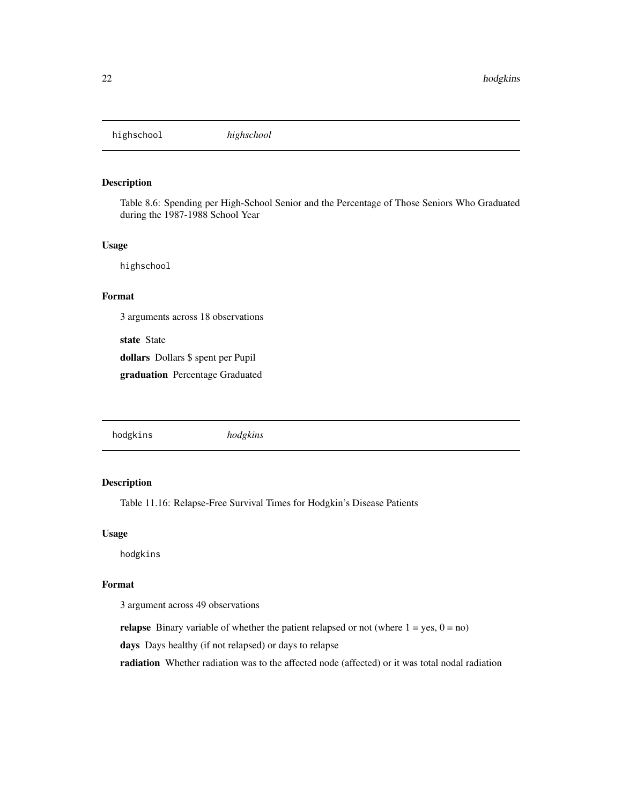<span id="page-21-0"></span>highschool *highschool*

# Description

Table 8.6: Spending per High-School Senior and the Percentage of Those Seniors Who Graduated during the 1987-1988 School Year

#### Usage

highschool

# Format

3 arguments across 18 observations

state State

dollars Dollars \$ spent per Pupil

graduation Percentage Graduated

hodgkins *hodgkins*

#### Description

Table 11.16: Relapse-Free Survival Times for Hodgkin's Disease Patients

#### Usage

hodgkins

# Format

3 argument across 49 observations

**relapse** Binary variable of whether the patient relapsed or not (where  $1 = yes, 0 = no$ )

days Days healthy (if not relapsed) or days to relapse

radiation Whether radiation was to the affected node (affected) or it was total nodal radiation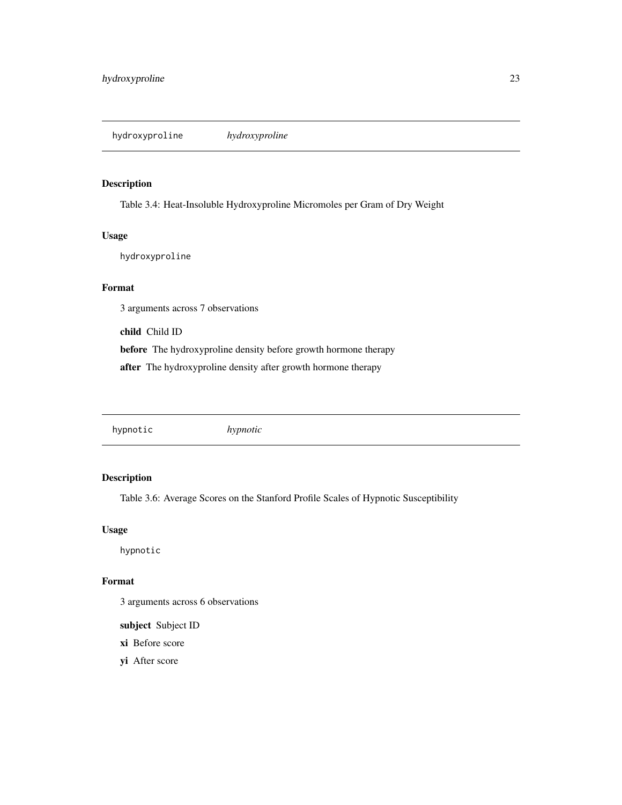# <span id="page-22-0"></span>Description

Table 3.4: Heat-Insoluble Hydroxyproline Micromoles per Gram of Dry Weight

#### Usage

hydroxyproline

#### Format

3 arguments across 7 observations

child Child ID

before The hydroxyproline density before growth hormone therapy

after The hydroxyproline density after growth hormone therapy

hypnotic *hypnotic*

# Description

Table 3.6: Average Scores on the Stanford Profile Scales of Hypnotic Susceptibility

#### Usage

hypnotic

# Format

3 arguments across 6 observations

subject Subject ID

xi Before score

yi After score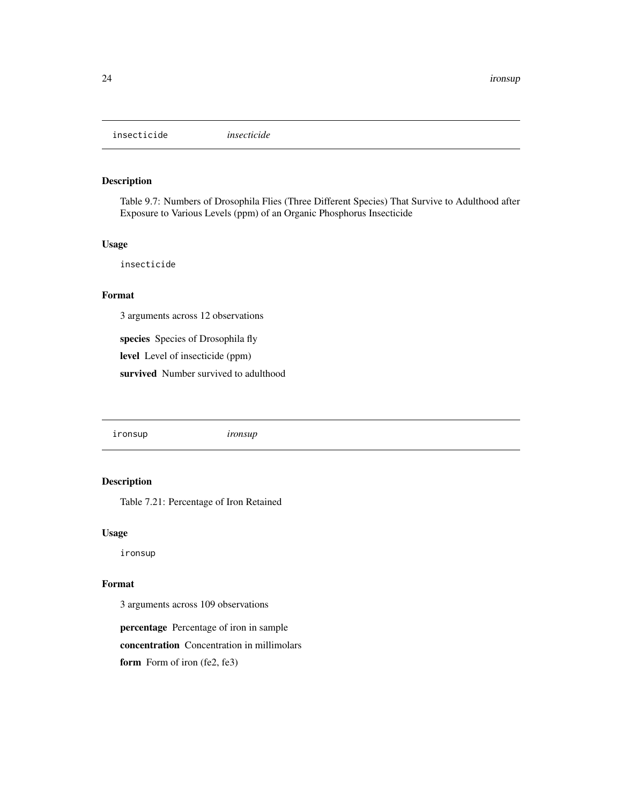<span id="page-23-0"></span>insecticide *insecticide*

#### Description

Table 9.7: Numbers of Drosophila Flies (Three Different Species) That Survive to Adulthood after Exposure to Various Levels (ppm) of an Organic Phosphorus Insecticide

#### Usage

insecticide

## Format

3 arguments across 12 observations

species Species of Drosophila fly level Level of insecticide (ppm) survived Number survived to adulthood

ironsup *ironsup*

#### Description

Table 7.21: Percentage of Iron Retained

#### Usage

ironsup

# Format

3 arguments across 109 observations

percentage Percentage of iron in sample concentration Concentration in millimolars form Form of iron (fe2, fe3)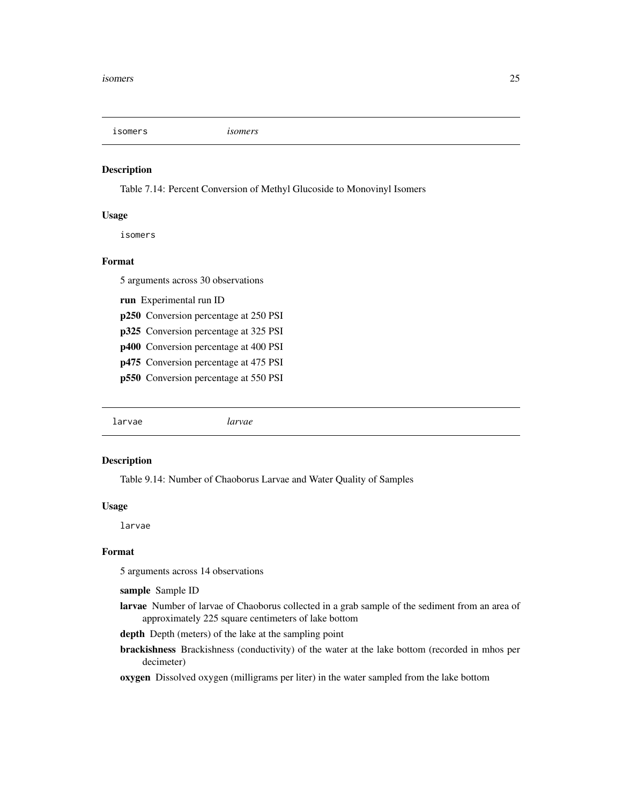<span id="page-24-0"></span>isomers *isomers*

#### Description

Table 7.14: Percent Conversion of Methyl Glucoside to Monovinyl Isomers

#### Usage

isomers

#### Format

5 arguments across 30 observations

run Experimental run ID

p250 Conversion percentage at 250 PSI

p325 Conversion percentage at 325 PSI

p400 Conversion percentage at 400 PSI

p475 Conversion percentage at 475 PSI

p550 Conversion percentage at 550 PSI

larvae *larvae*

#### Description

Table 9.14: Number of Chaoborus Larvae and Water Quality of Samples

#### Usage

larvae

#### Format

5 arguments across 14 observations

sample Sample ID

larvae Number of larvae of Chaoborus collected in a grab sample of the sediment from an area of approximately 225 square centimeters of lake bottom

depth Depth (meters) of the lake at the sampling point

brackishness Brackishness (conductivity) of the water at the lake bottom (recorded in mhos per decimeter)

oxygen Dissolved oxygen (milligrams per liter) in the water sampled from the lake bottom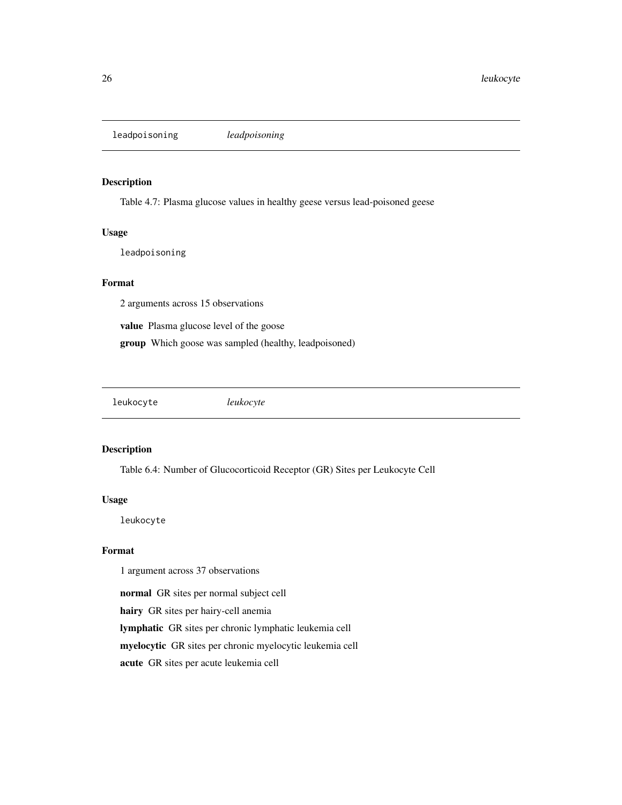<span id="page-25-0"></span>leadpoisoning *leadpoisoning*

#### Description

Table 4.7: Plasma glucose values in healthy geese versus lead-poisoned geese

#### Usage

leadpoisoning

## Format

2 arguments across 15 observations

value Plasma glucose level of the goose

group Which goose was sampled (healthy, leadpoisoned)

leukocyte *leukocyte*

#### Description

Table 6.4: Number of Glucocorticoid Receptor (GR) Sites per Leukocyte Cell

#### Usage

leukocyte

# Format

1 argument across 37 observations

normal GR sites per normal subject cell

hairy GR sites per hairy-cell anemia

lymphatic GR sites per chronic lymphatic leukemia cell

myelocytic GR sites per chronic myelocytic leukemia cell

acute GR sites per acute leukemia cell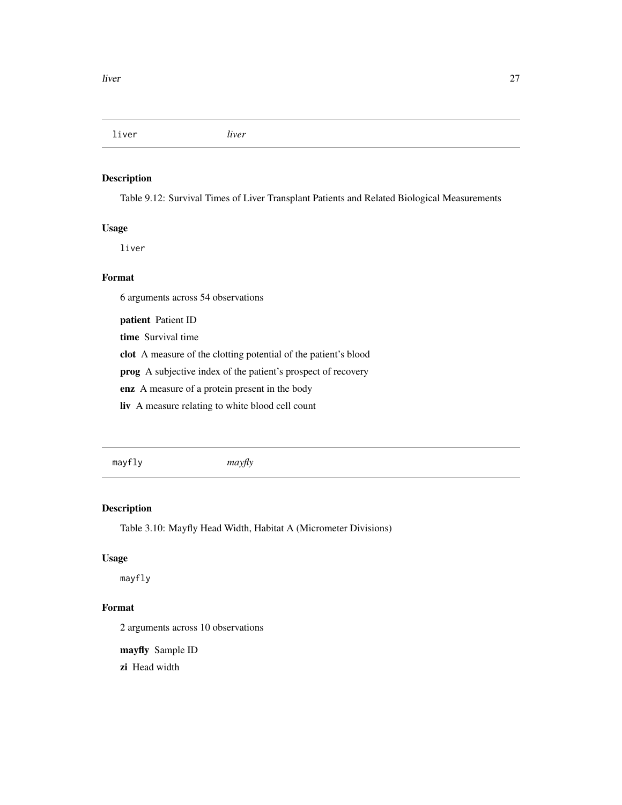<span id="page-26-0"></span>liver *liver*

# Description

Table 9.12: Survival Times of Liver Transplant Patients and Related Biological Measurements

#### Usage

liver

# Format

6 arguments across 54 observations

patient Patient ID

time Survival time

clot A measure of the clotting potential of the patient's blood

prog A subjective index of the patient's prospect of recovery

enz A measure of a protein present in the body

liv A measure relating to white blood cell count

mayfly *mayfly*

# Description

Table 3.10: Mayfly Head Width, Habitat A (Micrometer Divisions)

#### Usage

mayfly

# Format

2 arguments across 10 observations

mayfly Sample ID

zi Head width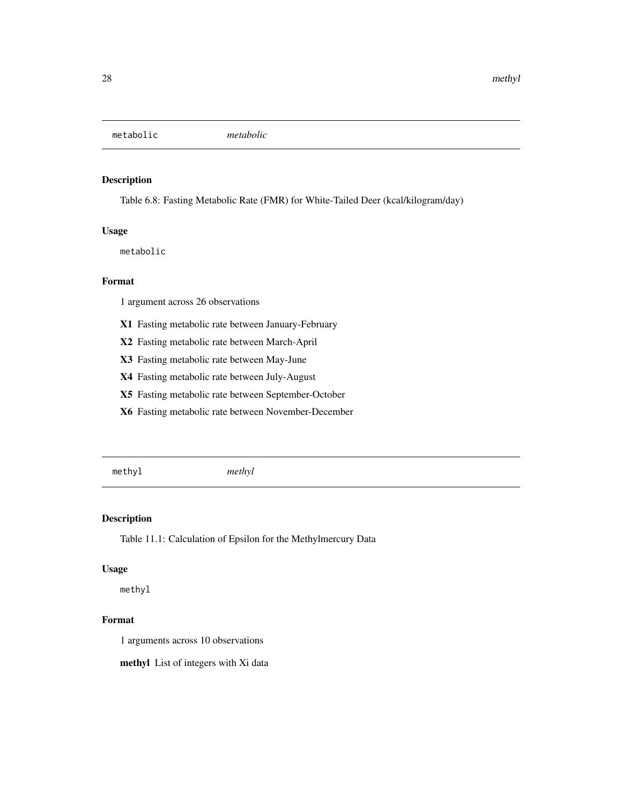<span id="page-27-0"></span>metabolic *metabolic*

#### Description

Table 6.8: Fasting Metabolic Rate (FMR) for White-Tailed Deer (kcal/kilogram/day)

#### Usage

metabolic

#### Format

1 argument across 26 observations

- X1 Fasting metabolic rate between January-February
- X2 Fasting metabolic rate between March-April
- X3 Fasting metabolic rate between May-June
- X4 Fasting metabolic rate between July-August
- X5 Fasting metabolic rate between September-October
- X6 Fasting metabolic rate between November-December

methyl *methyl*

# Description

Table 11.1: Calculation of Epsilon for the Methylmercury Data

# Usage

methyl

# Format

1 arguments across 10 observations

methyl List of integers with Xi data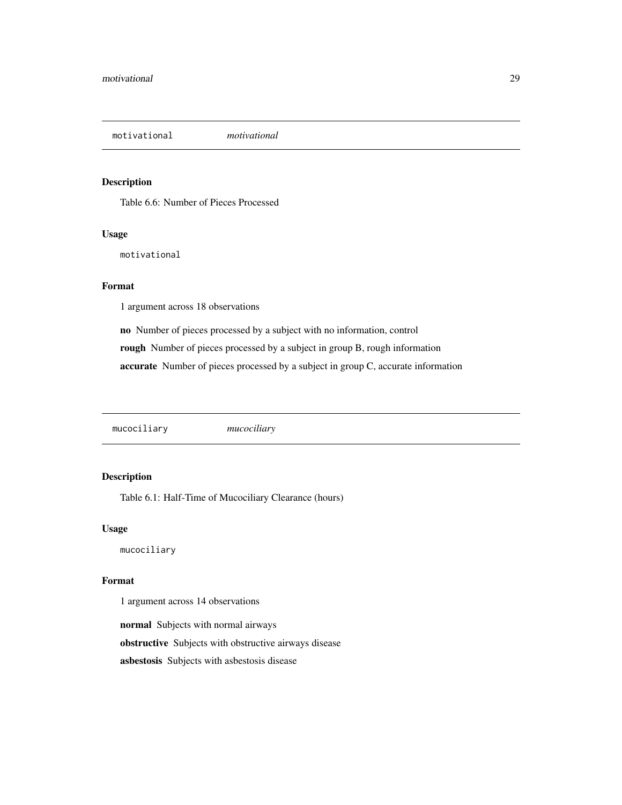<span id="page-28-0"></span>motivational *motivational*

#### Description

Table 6.6: Number of Pieces Processed

# Usage

motivational

# Format

1 argument across 18 observations

no Number of pieces processed by a subject with no information, control rough Number of pieces processed by a subject in group B, rough information accurate Number of pieces processed by a subject in group C, accurate information

mucociliary *mucociliary*

# Description

Table 6.1: Half-Time of Mucociliary Clearance (hours)

#### Usage

mucociliary

#### Format

1 argument across 14 observations

normal Subjects with normal airways obstructive Subjects with obstructive airways disease asbestosis Subjects with asbestosis disease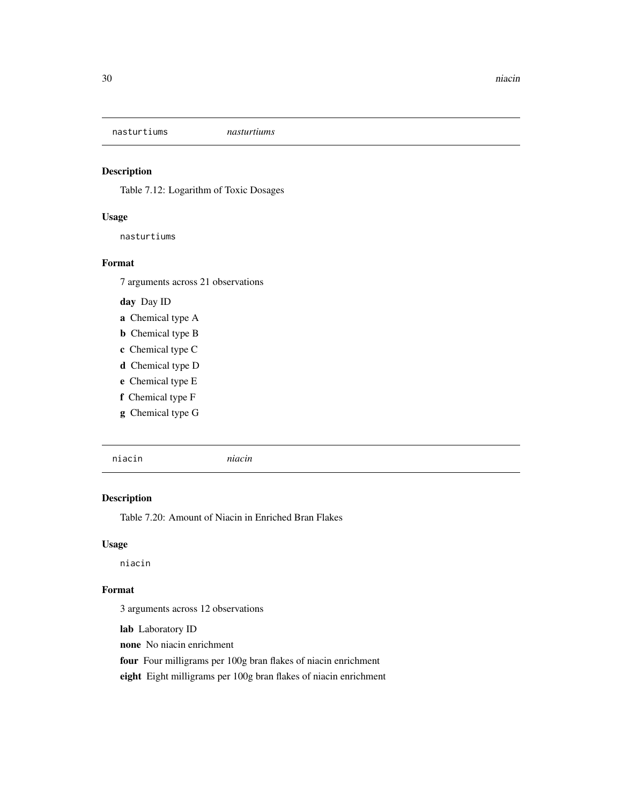<span id="page-29-0"></span>nasturtiums *nasturtiums*

#### Description

Table 7.12: Logarithm of Toxic Dosages

# Usage

nasturtiums

#### Format

7 arguments across 21 observations

day Day ID

- a Chemical type A
- b Chemical type B
- c Chemical type C
- d Chemical type D
- e Chemical type E
- f Chemical type F
- g Chemical type G

niacin *niacin*

#### Description

Table 7.20: Amount of Niacin in Enriched Bran Flakes

#### Usage

niacin

#### Format

3 arguments across 12 observations

lab Laboratory ID

none No niacin enrichment

four Four milligrams per 100g bran flakes of niacin enrichment

eight Eight milligrams per 100g bran flakes of niacin enrichment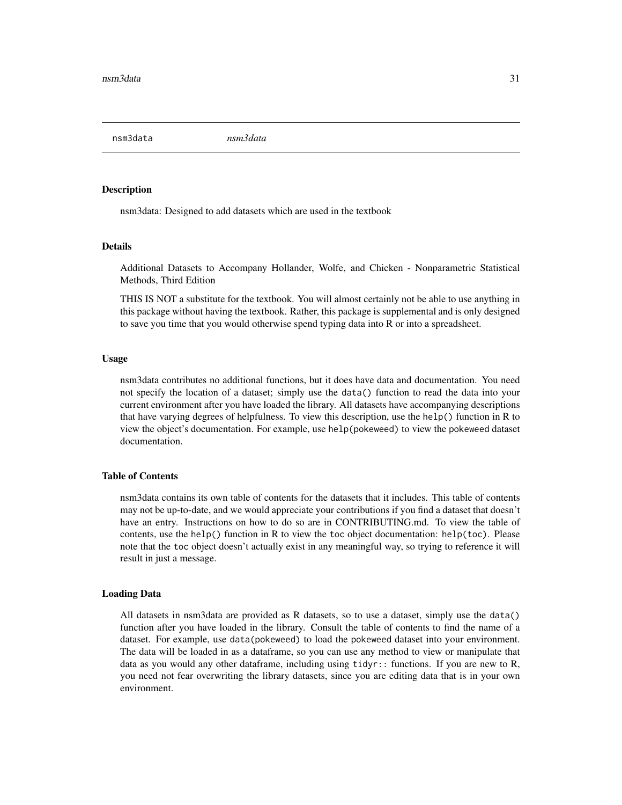<span id="page-30-0"></span>nsm3data *nsm3data*

#### Description

nsm3data: Designed to add datasets which are used in the textbook

#### Details

Additional Datasets to Accompany Hollander, Wolfe, and Chicken - Nonparametric Statistical Methods, Third Edition

THIS IS NOT a substitute for the textbook. You will almost certainly not be able to use anything in this package without having the textbook. Rather, this package is supplemental and is only designed to save you time that you would otherwise spend typing data into R or into a spreadsheet.

#### Usage

nsm3data contributes no additional functions, but it does have data and documentation. You need not specify the location of a dataset; simply use the data() function to read the data into your current environment after you have loaded the library. All datasets have accompanying descriptions that have varying degrees of helpfulness. To view this description, use the help() function in R to view the object's documentation. For example, use help(pokeweed) to view the pokeweed dataset documentation.

# Table of Contents

nsm3data contains its own table of contents for the datasets that it includes. This table of contents may not be up-to-date, and we would appreciate your contributions if you find a dataset that doesn't have an entry. Instructions on how to do so are in CONTRIBUTING.md. To view the table of contents, use the help() function in R to view the toc object documentation: help(toc). Please note that the toc object doesn't actually exist in any meaningful way, so trying to reference it will result in just a message.

#### Loading Data

All datasets in nsm3data are provided as R datasets, so to use a dataset, simply use the data() function after you have loaded in the library. Consult the table of contents to find the name of a dataset. For example, use data(pokeweed) to load the pokeweed dataset into your environment. The data will be loaded in as a dataframe, so you can use any method to view or manipulate that data as you would any other dataframe, including using tidyr:: functions. If you are new to R, you need not fear overwriting the library datasets, since you are editing data that is in your own environment.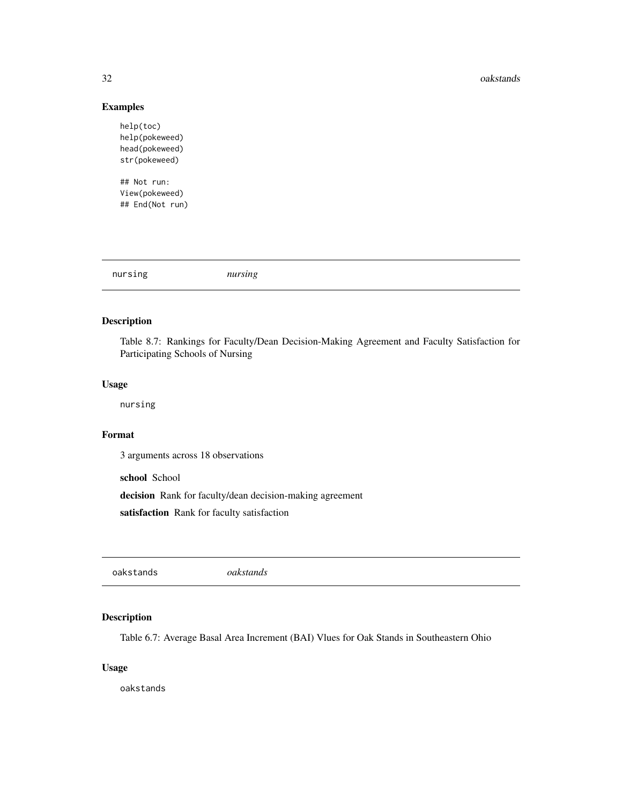#### 32 oakstands

#### Examples

help(toc) help(pokeweed) head(pokeweed) str(pokeweed)

## Not run: View(pokeweed) ## End(Not run)

| nursing | nursing |
|---------|---------|
|         |         |

# Description

Table 8.7: Rankings for Faculty/Dean Decision-Making Agreement and Faculty Satisfaction for Participating Schools of Nursing

#### Usage

nursing

# Format

3 arguments across 18 observations

school School

decision Rank for faculty/dean decision-making agreement

satisfaction Rank for faculty satisfaction

oakstands *oakstands*

# Description

Table 6.7: Average Basal Area Increment (BAI) Vlues for Oak Stands in Southeastern Ohio

#### Usage

oakstands

<span id="page-31-0"></span>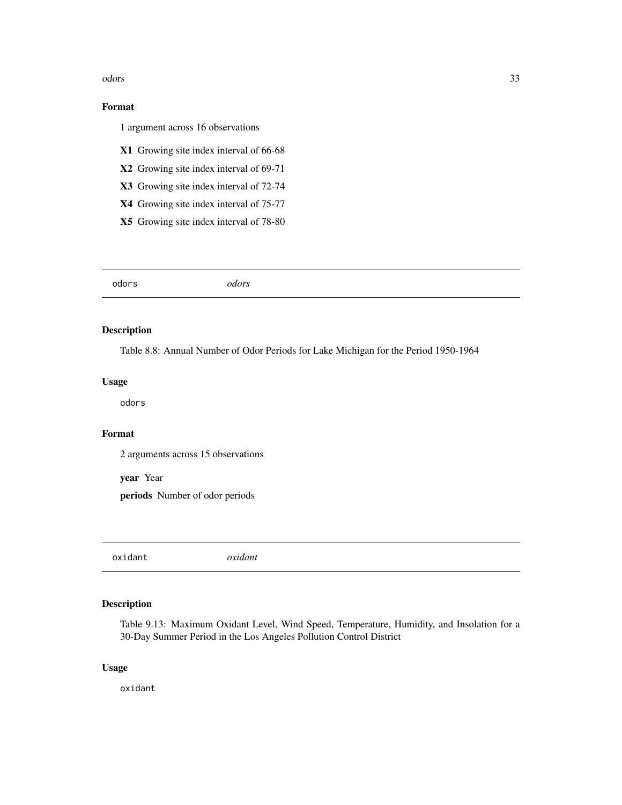<span id="page-32-0"></span>odors 33

# Format

1 argument across 16 observations

- X1 Growing site index interval of 66-68
- X2 Growing site index interval of 69-71
- X3 Growing site index interval of 72-74
- X4 Growing site index interval of 75-77
- X5 Growing site index interval of 78-80

# Description

Table 8.8: Annual Number of Odor Periods for Lake Michigan for the Period 1950-1964

#### Usage

odors

# Format

2 arguments across 15 observations

year Year

periods Number of odor periods

oxidant *oxidant*

# Description

Table 9.13: Maximum Oxidant Level, Wind Speed, Temperature, Humidity, and Insolation for a 30-Day Summer Period in the Los Angeles Pollution Control District

#### Usage

oxidant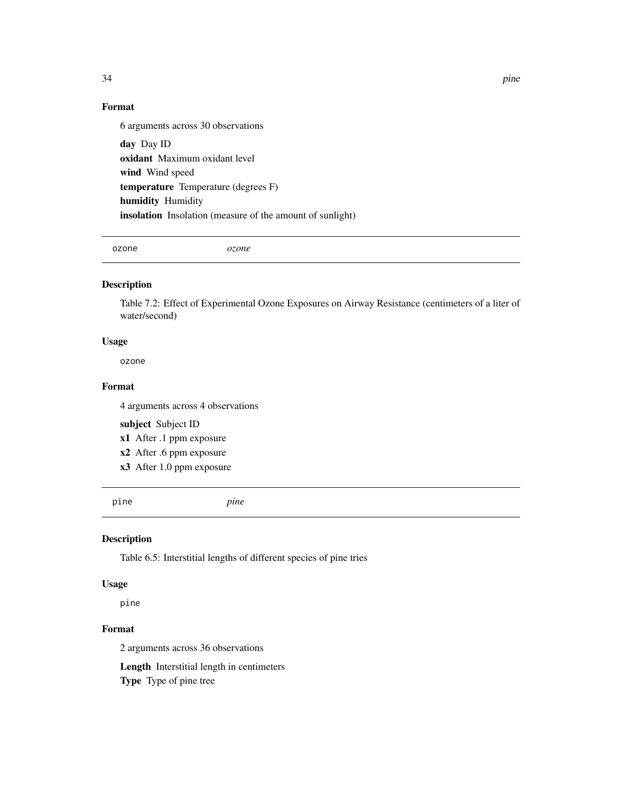34 pine

# Format

6 arguments across 30 observations day Day ID oxidant Maximum oxidant level wind Wind speed temperature Temperature (degrees F) humidity Humidity insolation Insolation (measure of the amount of sunlight)

ozone *ozone*

# Description

Table 7.2: Effect of Experimental Ozone Exposures on Airway Resistance (centimeters of a liter of water/second)

#### Usage

ozone

#### Format

4 arguments across 4 observations

subject Subject ID

- x1 After .1 ppm exposure
- x2 After .6 ppm exposure
- x3 After 1.0 ppm exposure

pine *pine*

#### Description

Table 6.5: Interstitial lengths of different species of pine tries

#### Usage

pine

# Format

2 arguments across 36 observations

Length Interstitial length in centimeters

Type Type of pine tree

<span id="page-33-0"></span>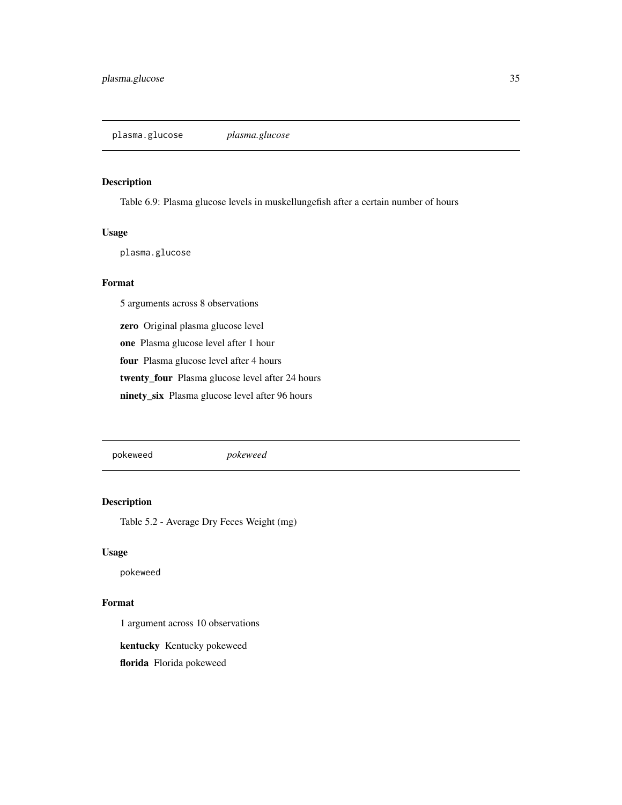<span id="page-34-0"></span>plasma.glucose *plasma.glucose*

#### Description

Table 6.9: Plasma glucose levels in muskellungefish after a certain number of hours

#### Usage

plasma.glucose

## Format

5 arguments across 8 observations

zero Original plasma glucose level

one Plasma glucose level after 1 hour

four Plasma glucose level after 4 hours

twenty\_four Plasma glucose level after 24 hours

ninety\_six Plasma glucose level after 96 hours

pokeweed *pokeweed*

# Description

Table 5.2 - Average Dry Feces Weight (mg)

#### Usage

pokeweed

#### Format

1 argument across 10 observations

kentucky Kentucky pokeweed

florida Florida pokeweed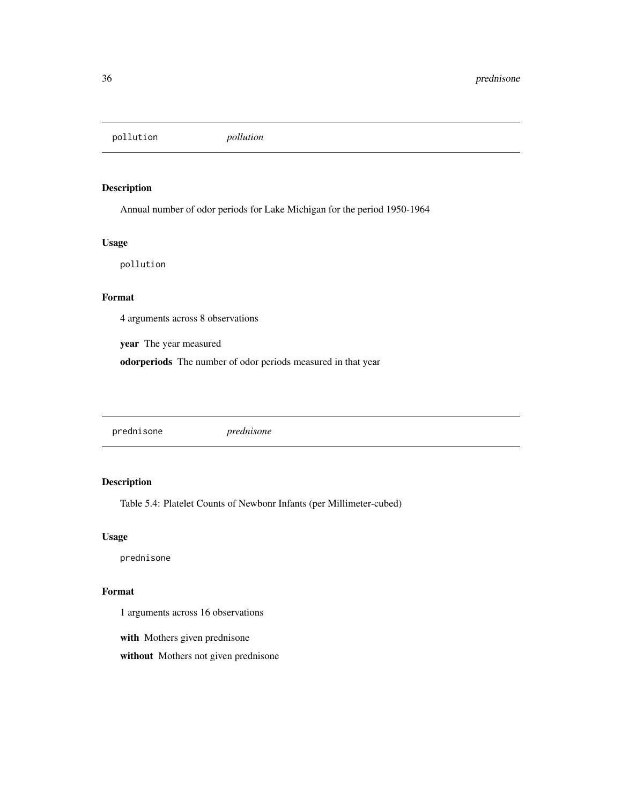<span id="page-35-0"></span>pollution *pollution*

# Description

Annual number of odor periods for Lake Michigan for the period 1950-1964

#### Usage

pollution

#### Format

4 arguments across 8 observations

year The year measured

odorperiods The number of odor periods measured in that year

prednisone *prednisone*

# Description

Table 5.4: Platelet Counts of Newbonr Infants (per Millimeter-cubed)

#### Usage

prednisone

#### Format

1 arguments across 16 observations

with Mothers given prednisone

without Mothers not given prednisone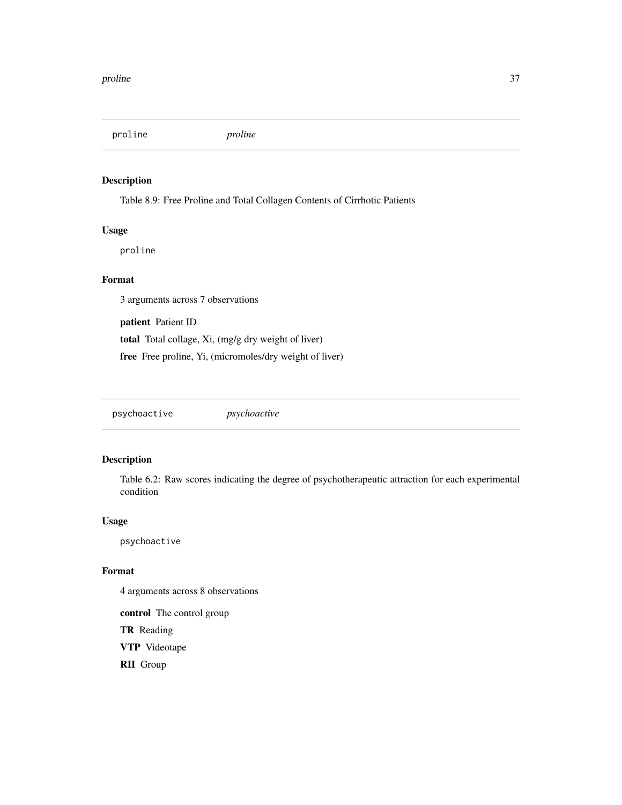<span id="page-36-0"></span>proline *proline*

# Description

Table 8.9: Free Proline and Total Collagen Contents of Cirrhotic Patients

# Usage

proline

# Format

3 arguments across 7 observations

patient Patient ID total Total collage, Xi, (mg/g dry weight of liver) free Free proline, Yi, (micromoles/dry weight of liver)

psychoactive *psychoactive*

## Description

Table 6.2: Raw scores indicating the degree of psychotherapeutic attraction for each experimental condition

#### Usage

psychoactive

#### Format

4 arguments across 8 observations

control The control group TR Reading VTP Videotape RII Group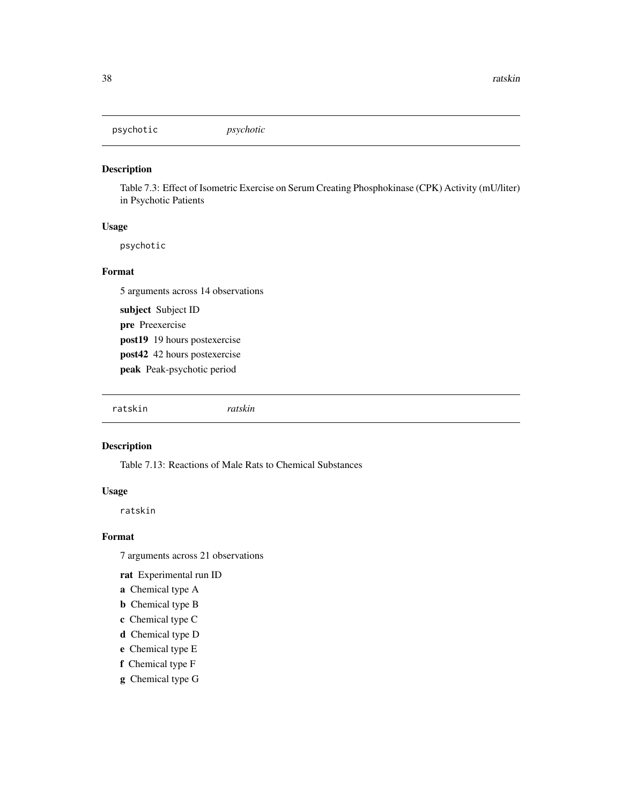<span id="page-37-0"></span>psychotic *psychotic*

#### Description

Table 7.3: Effect of Isometric Exercise on Serum Creating Phosphokinase (CPK) Activity (mU/liter) in Psychotic Patients

#### Usage

psychotic

#### Format

5 arguments across 14 observations

subject Subject ID pre Preexercise post19 19 hours postexercise post42 42 hours postexercise peak Peak-psychotic period

ratskin *ratskin*

#### Description

Table 7.13: Reactions of Male Rats to Chemical Substances

# Usage

ratskin

#### Format

7 arguments across 21 observations

rat Experimental run ID

- a Chemical type A
- **b** Chemical type B
- c Chemical type C
- d Chemical type D
- e Chemical type E
- f Chemical type F
- g Chemical type G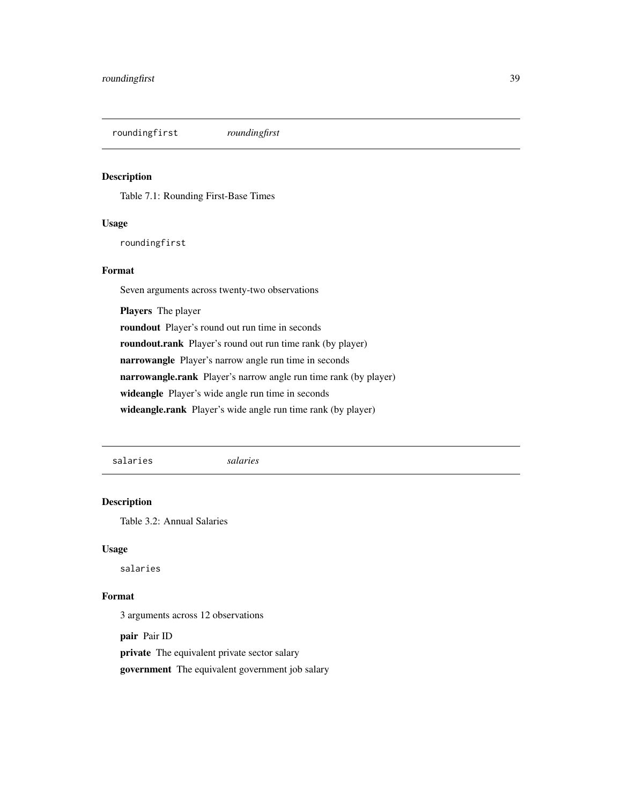<span id="page-38-0"></span>roundingfirst *roundingfirst*

#### Description

Table 7.1: Rounding First-Base Times

#### Usage

roundingfirst

#### Format

Seven arguments across twenty-two observations

Players The player roundout Player's round out run time in seconds roundout.rank Player's round out run time rank (by player) narrowangle Player's narrow angle run time in seconds narrowangle.rank Player's narrow angle run time rank (by player) wideangle Player's wide angle run time in seconds wideangle.rank Player's wide angle run time rank (by player)

salaries *salaries*

#### Description

Table 3.2: Annual Salaries

#### Usage

salaries

#### Format

3 arguments across 12 observations

pair Pair ID

private The equivalent private sector salary

government The equivalent government job salary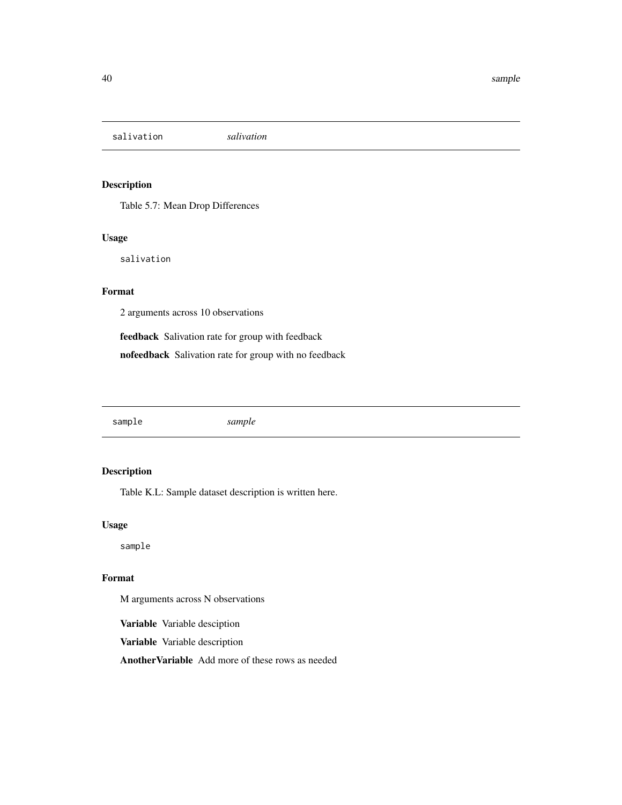<span id="page-39-0"></span>salivation *salivation*

# Description

Table 5.7: Mean Drop Differences

#### Usage

salivation

# Format

2 arguments across 10 observations

feedback Salivation rate for group with feedback

nofeedback Salivation rate for group with no feedback

sample *sample*

# Description

Table K.L: Sample dataset description is written here.

#### Usage

sample

# Format

M arguments across N observations

Variable Variable desciption

Variable Variable description

AnotherVariable Add more of these rows as needed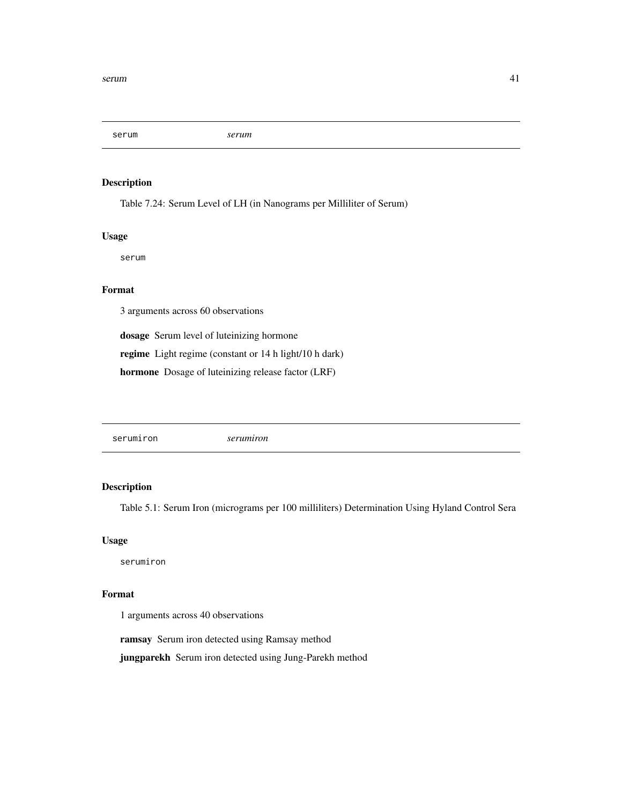<span id="page-40-0"></span>serum *serum*

#### Description

Table 7.24: Serum Level of LH (in Nanograms per Milliliter of Serum)

#### Usage

serum

# Format

3 arguments across 60 observations

dosage Serum level of luteinizing hormone

regime Light regime (constant or 14 h light/10 h dark)

hormone Dosage of luteinizing release factor (LRF)

serumiron *serumiron*

# Description

Table 5.1: Serum Iron (micrograms per 100 milliliters) Determination Using Hyland Control Sera

#### Usage

serumiron

#### Format

1 arguments across 40 observations

ramsay Serum iron detected using Ramsay method

jungparekh Serum iron detected using Jung-Parekh method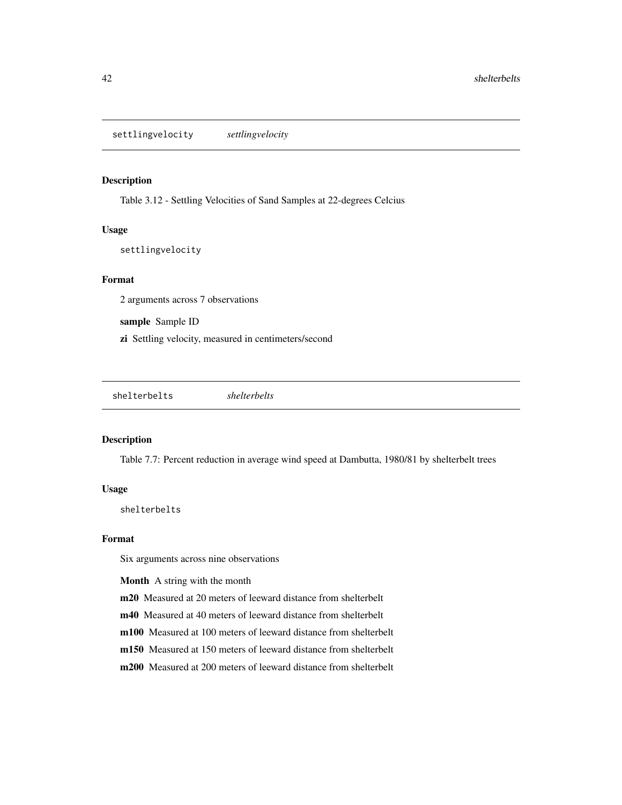<span id="page-41-0"></span>settlingvelocity *settlingvelocity*

#### Description

Table 3.12 - Settling Velocities of Sand Samples at 22-degrees Celcius

#### Usage

settlingvelocity

#### Format

2 arguments across 7 observations

sample Sample ID

zi Settling velocity, measured in centimeters/second

shelterbelts *shelterbelts*

#### Description

Table 7.7: Percent reduction in average wind speed at Dambutta, 1980/81 by shelterbelt trees

#### Usage

shelterbelts

#### Format

Six arguments across nine observations

Month A string with the month

m20 Measured at 20 meters of leeward distance from shelterbelt

m40 Measured at 40 meters of leeward distance from shelterbelt

m100 Measured at 100 meters of leeward distance from shelterbelt

m150 Measured at 150 meters of leeward distance from shelterbelt

m200 Measured at 200 meters of leeward distance from shelterbelt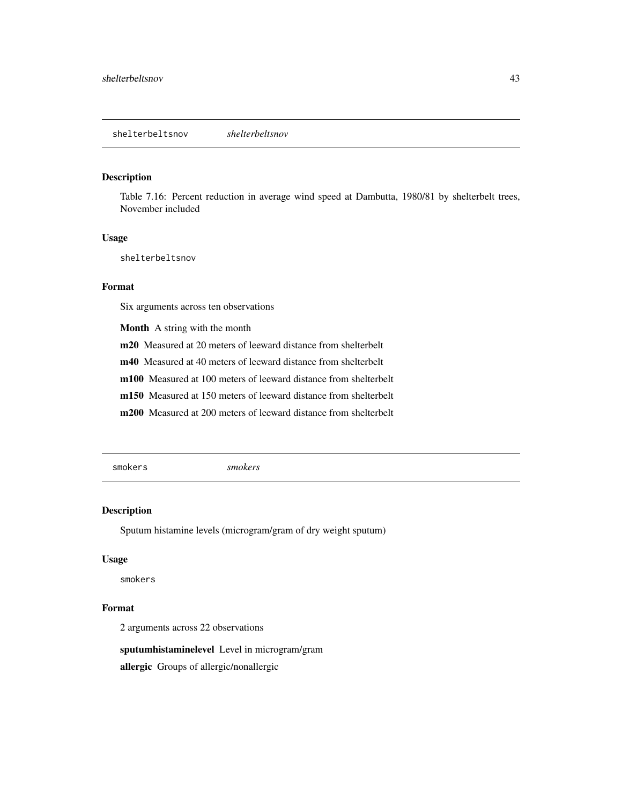#### <span id="page-42-0"></span>Description

Table 7.16: Percent reduction in average wind speed at Dambutta, 1980/81 by shelterbelt trees, November included

#### Usage

shelterbeltsnov

#### Format

Six arguments across ten observations

Month A string with the month

m20 Measured at 20 meters of leeward distance from shelterbelt

m40 Measured at 40 meters of leeward distance from shelterbelt

m100 Measured at 100 meters of leeward distance from shelterbelt

m150 Measured at 150 meters of leeward distance from shelterbelt

m200 Measured at 200 meters of leeward distance from shelterbelt

smokers *smokers*

#### Description

Sputum histamine levels (microgram/gram of dry weight sputum)

#### Usage

smokers

#### Format

2 arguments across 22 observations

sputumhistaminelevel Level in microgram/gram

allergic Groups of allergic/nonallergic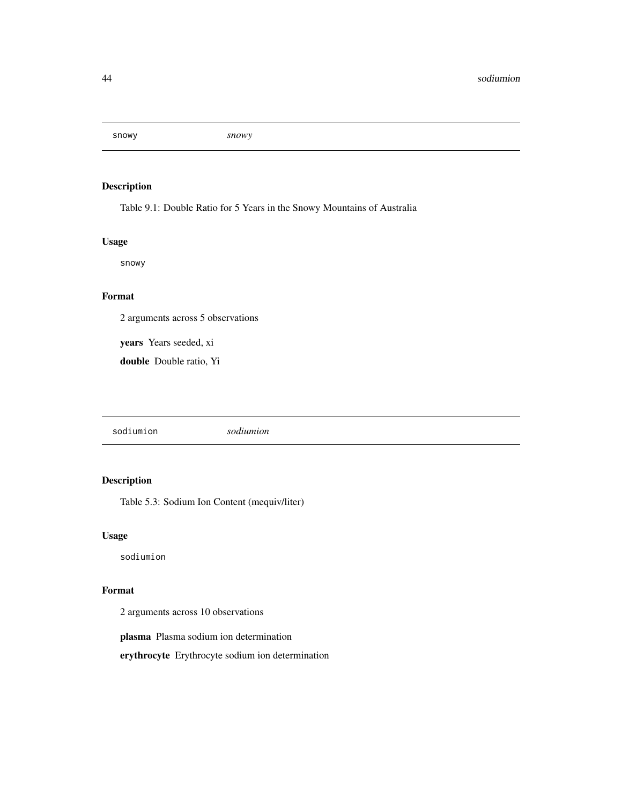<span id="page-43-0"></span>snowy *snowy*

# Description

Table 9.1: Double Ratio for 5 Years in the Snowy Mountains of Australia

# Usage

snowy

# Format

2 arguments across 5 observations

years Years seeded, xi

double Double ratio, Yi

sodiumion *sodiumion*

# Description

Table 5.3: Sodium Ion Content (mequiv/liter)

# Usage

sodiumion

#### Format

2 arguments across 10 observations

plasma Plasma sodium ion determination

erythrocyte Erythrocyte sodium ion determination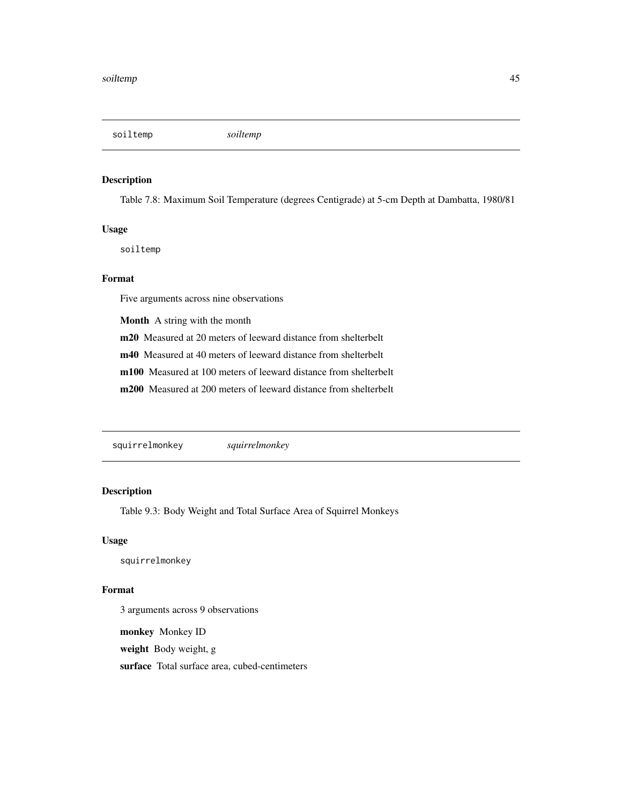<span id="page-44-0"></span>soiltemp *soiltemp*

#### Description

Table 7.8: Maximum Soil Temperature (degrees Centigrade) at 5-cm Depth at Dambatta, 1980/81

#### Usage

soiltemp

# Format

Five arguments across nine observations

Month A string with the month

m20 Measured at 20 meters of leeward distance from shelterbelt

m40 Measured at 40 meters of leeward distance from shelterbelt

m100 Measured at 100 meters of leeward distance from shelterbelt

m200 Measured at 200 meters of leeward distance from shelterbelt

squirrelmonkey *squirrelmonkey*

# Description

Table 9.3: Body Weight and Total Surface Area of Squirrel Monkeys

# Usage

squirrelmonkey

#### Format

3 arguments across 9 observations

monkey Monkey ID

weight Body weight, g

surface Total surface area, cubed-centimeters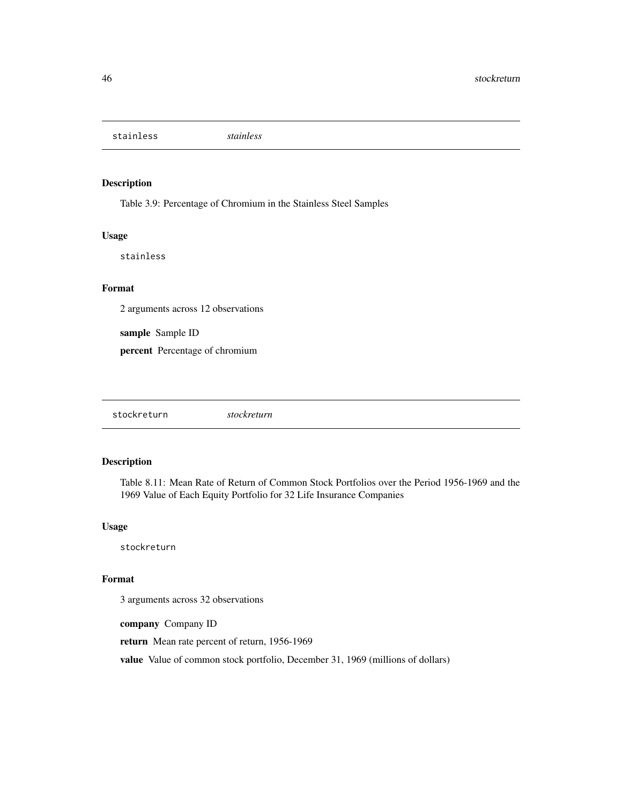<span id="page-45-0"></span>stainless *stainless*

# Description

Table 3.9: Percentage of Chromium in the Stainless Steel Samples

#### Usage

stainless

#### Format

2 arguments across 12 observations

sample Sample ID

percent Percentage of chromium

| stockreturn |
|-------------|
|-------------|

#### Description

Table 8.11: Mean Rate of Return of Common Stock Portfolios over the Period 1956-1969 and the 1969 Value of Each Equity Portfolio for 32 Life Insurance Companies

#### Usage

stockreturn

#### Format

3 arguments across 32 observations

company Company ID

return Mean rate percent of return, 1956-1969

value Value of common stock portfolio, December 31, 1969 (millions of dollars)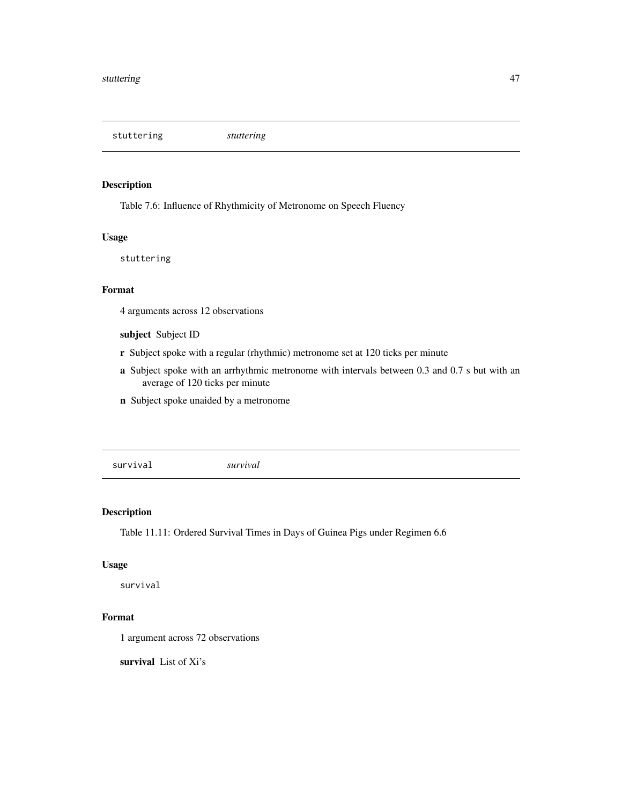<span id="page-46-0"></span>stuttering *stuttering*

### Description

Table 7.6: Influence of Rhythmicity of Metronome on Speech Fluency

#### Usage

stuttering

# Format

4 arguments across 12 observations

# subject Subject ID

- r Subject spoke with a regular (rhythmic) metronome set at 120 ticks per minute
- a Subject spoke with an arrhythmic metronome with intervals between 0.3 and 0.7 s but with an average of 120 ticks per minute
- n Subject spoke unaided by a metronome

survival *survival*

# Description

Table 11.11: Ordered Survival Times in Days of Guinea Pigs under Regimen 6.6

# Usage

survival

#### Format

1 argument across 72 observations

survival List of Xi's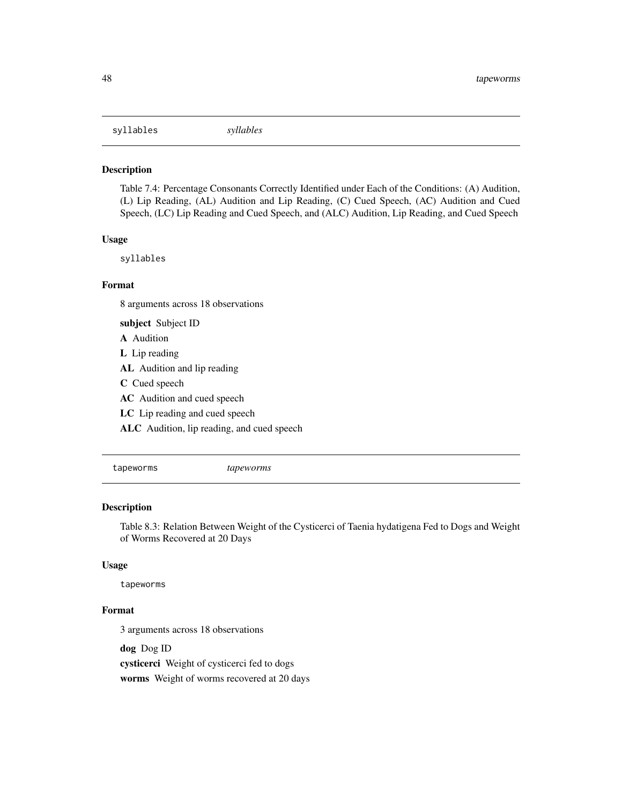<span id="page-47-0"></span>syllables *syllables*

#### Description

Table 7.4: Percentage Consonants Correctly Identified under Each of the Conditions: (A) Audition, (L) Lip Reading, (AL) Audition and Lip Reading, (C) Cued Speech, (AC) Audition and Cued Speech, (LC) Lip Reading and Cued Speech, and (ALC) Audition, Lip Reading, and Cued Speech

#### Usage

syllables

#### Format

8 arguments across 18 observations

subject Subject ID A Audition L Lip reading AL Audition and lip reading C Cued speech AC Audition and cued speech

LC Lip reading and cued speech

ALC Audition, lip reading, and cued speech

tapeworms *tapeworms*

#### Description

Table 8.3: Relation Between Weight of the Cysticerci of Taenia hydatigena Fed to Dogs and Weight of Worms Recovered at 20 Days

# Usage

tapeworms

# Format

3 arguments across 18 observations

dog Dog ID cysticerci Weight of cysticerci fed to dogs worms Weight of worms recovered at 20 days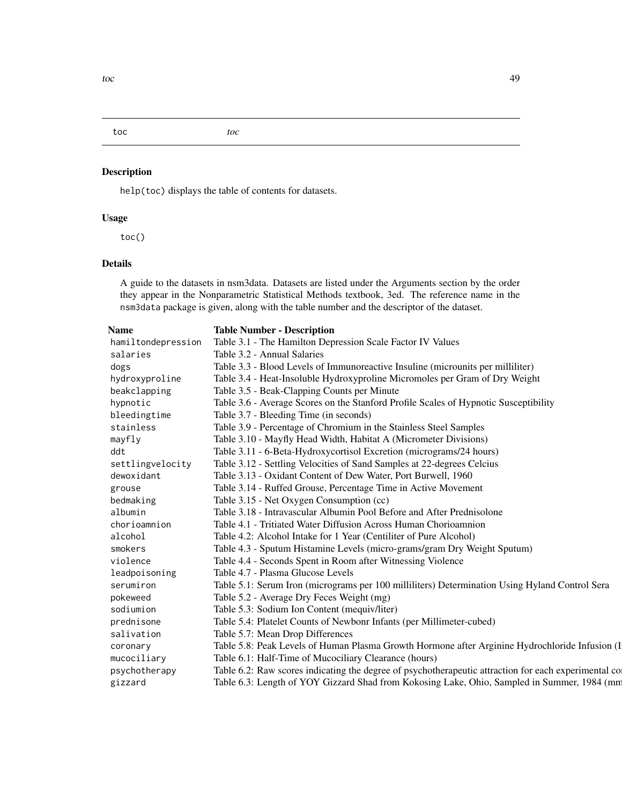# <span id="page-48-0"></span>toc *toc*

# Description

help(toc) displays the table of contents for datasets.

# Usage

toc()

# Details

A guide to the datasets in nsm3data. Datasets are listed under the Arguments section by the order they appear in the Nonparametric Statistical Methods textbook, 3ed. The reference name in the nsm3data package is given, along with the table number and the descriptor of the dataset.

|--|

#### **Table Number - Description**

| hamiltondepression | Table 3.1 - The Hamilton Depression Scale Factor IV Values                                           |
|--------------------|------------------------------------------------------------------------------------------------------|
| salaries           | Table 3.2 - Annual Salaries                                                                          |
| dogs               | Table 3.3 - Blood Levels of Immunoreactive Insuline (microunits per milliliter)                      |
| hydroxyproline     | Table 3.4 - Heat-Insoluble Hydroxyproline Micromoles per Gram of Dry Weight                          |
| beakclapping       | Table 3.5 - Beak-Clapping Counts per Minute                                                          |
| hypnotic           | Table 3.6 - Average Scores on the Stanford Profile Scales of Hypnotic Susceptibility                 |
| bleedingtime       | Table 3.7 - Bleeding Time (in seconds)                                                               |
| stainless          | Table 3.9 - Percentage of Chromium in the Stainless Steel Samples                                    |
| mayfly             | Table 3.10 - Mayfly Head Width, Habitat A (Micrometer Divisions)                                     |
| ddt                | Table 3.11 - 6-Beta-Hydroxycortisol Excretion (micrograms/24 hours)                                  |
| settlingvelocity   | Table 3.12 - Settling Velocities of Sand Samples at 22-degrees Celcius                               |
| dewoxidant         | Table 3.13 - Oxidant Content of Dew Water, Port Burwell, 1960                                        |
| grouse             | Table 3.14 - Ruffed Grouse, Percentage Time in Active Movement                                       |
| bedmaking          | Table 3.15 - Net Oxygen Consumption (cc)                                                             |
| albumin            | Table 3.18 - Intravascular Albumin Pool Before and After Prednisolone                                |
| chorioamnion       | Table 4.1 - Tritiated Water Diffusion Across Human Chorioamnion                                      |
| alcohol            | Table 4.2: Alcohol Intake for 1 Year (Centiliter of Pure Alcohol)                                    |
| smokers            | Table 4.3 - Sputum Histamine Levels (micro-grams/gram Dry Weight Sputum)                             |
| violence           | Table 4.4 - Seconds Spent in Room after Witnessing Violence                                          |
| leadpoisoning      | Table 4.7 - Plasma Glucose Levels                                                                    |
| serumiron          | Table 5.1: Serum Iron (micrograms per 100 milliliters) Determination Using Hyland Control Sera       |
| pokeweed           | Table 5.2 - Average Dry Feces Weight (mg)                                                            |
| sodiumion          | Table 5.3: Sodium Ion Content (mequiv/liter)                                                         |
| prednisone         | Table 5.4: Platelet Counts of Newbonr Infants (per Millimeter-cubed)                                 |
| salivation         | Table 5.7: Mean Drop Differences                                                                     |
| coronary           | Table 5.8: Peak Levels of Human Plasma Growth Hormone after Arginine Hydrochloride Infusion (I       |
| mucociliary        | Table 6.1: Half-Time of Mucociliary Clearance (hours)                                                |
| psychotherapy      | Table 6.2: Raw scores indicating the degree of psychotherapeutic attraction for each experimental co |
| gizzard            | Table 6.3: Length of YOY Gizzard Shad from Kokosing Lake, Ohio, Sampled in Summer, 1984 (mm          |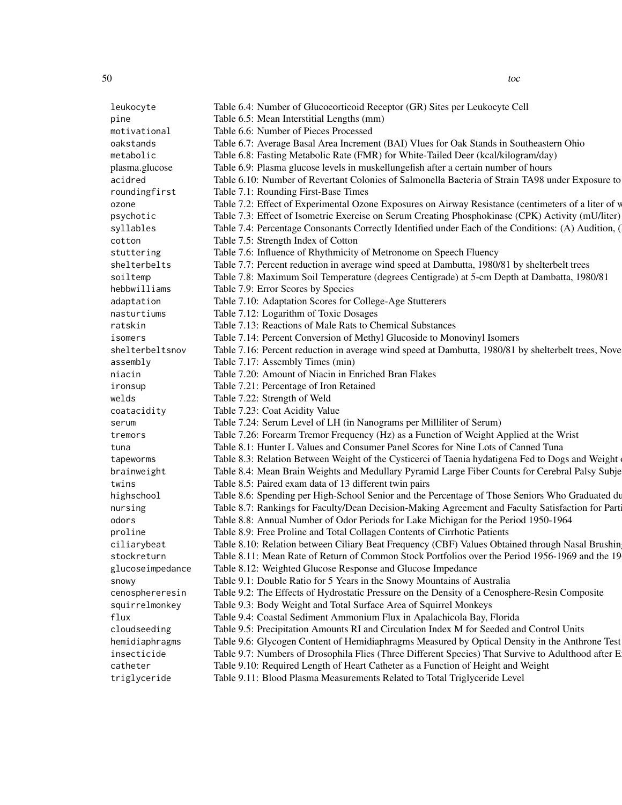leukocyte Table 6.4: Number of Glucocorticoid Receptor (GR) Sites per Leukocyte Cell pine Table 6.5: Mean Interstitial Lengths (mm) motivational Table 6.6: Number of Pieces Processed oakstands Table 6.7: Average Basal Area Increment (BAI) Vlues for Oak Stands in Southeastern Ohio metabolic Table 6.8: Fasting Metabolic Rate (FMR) for White-Tailed Deer (kcal/kilogram/day) plasma.glucose Table 6.9: Plasma glucose levels in muskellungefish after a certain number of hours acidred Table 6.10: Number of Revertant Colonies of Salmonella Bacteria of Strain TA98 under Exposure to roundingfirst Table 7.1: Rounding First-Base Times ozone Table 7.2: Effect of Experimental Ozone Exposures on Airway Resistance (centimeters of a liter of v psychotic Table 7.3: Effect of Isometric Exercise on Serum Creating Phosphokinase (CPK) Activity (mU/liter) syllables Table 7.4: Percentage Consonants Correctly Identified under Each of the Conditions: (A) Audition, ( cotton Table 7.5: Strength Index of Cotton stuttering Table 7.6: Influence of Rhythmicity of Metronome on Speech Fluency shelterbelts Table 7.7: Percent reduction in average wind speed at Dambutta, 1980/81 by shelterbelt trees soiltemp Table 7.8: Maximum Soil Temperature (degrees Centigrade) at 5-cm Depth at Dambatta, 1980/81 hebbwilliams Table 7.9: Error Scores by Species adaptation Table 7.10: Adaptation Scores for College-Age Stutterers nasturtiums Table 7.12: Logarithm of Toxic Dosages ratskin Table 7.13: Reactions of Male Rats to Chemical Substances isomers Table 7.14: Percent Conversion of Methyl Glucoside to Monovinyl Isomers shelterbeltsnov Table 7.16: Percent reduction in average wind speed at Dambutta, 1980/81 by shelterbelt trees, Nove assembly Table 7.17: Assembly Times (min) niacin Table 7.20: Amount of Niacin in Enriched Bran Flakes ironsup Table 7.21: Percentage of Iron Retained welds Table 7.22: Strength of Weld coatacidity Table 7.23: Coat Acidity Value serum Table 7.24: Serum Level of LH (in Nanograms per Milliliter of Serum) tremors Table 7.26: Forearm Tremor Frequency (Hz) as a Function of Weight Applied at the Wrist tuna Table 8.1: Hunter L Values and Consumer Panel Scores for Nine Lots of Canned Tuna tapeworms Table 8.3: Relation Between Weight of the Cysticerci of Taenia hydatigena Fed to Dogs and Weight brainweight Table 8.4: Mean Brain Weights and Medullary Pyramid Large Fiber Counts for Cerebral Palsy Subjects twins Table 8.5: Paired exam data of 13 different twin pairs highschool Table 8.6: Spending per High-School Senior and the Percentage of Those Seniors Who Graduated during the 1987-1988 School Senior and the Percentage of Those Seniors Who Graduated du nursing Table 8.7: Rankings for Faculty/Dean Decision-Making Agreement and Faculty Satisfaction for Part odors Table 8.8: Annual Number of Odor Periods for Lake Michigan for the Period 1950-1964 proline Table 8.9: Free Proline and Total Collagen Contents of Cirrhotic Patients ciliarybeat Table 8.10: Relation between Ciliary Beat Frequency (CBF) Values Obtained through Nasal Brushin stockreturn Table 8.11: Mean Rate of Return of Common Stock Portfolios over the Period 1956-1969 and the 19 glucoseimpedance Table 8.12: Weighted Glucose Response and Glucose Impedance snowy Table 9.1: Double Ratio for 5 Years in the Snowy Mountains of Australia cenosphereresin Table 9.2: The Effects of Hydrostatic Pressure on the Density of a Cenosphere-Resin Composite squirrelmonkey Table 9.3: Body Weight and Total Surface Area of Squirrel Monkeys flux Table 9.4: Coastal Sediment Ammonium Flux in Apalachicola Bay, Florida cloudseeding Table 9.5: Precipitation Amounts RI and Circulation Index M for Seeded and Control Units hemidiaphragms Table 9.6: Glycogen Content of Hemidiaphragms Measured by Optical Density in the Anthrone Test insecticide Table 9.7: Numbers of Drosophila Flies (Three Different Species) That Survive to Adulthood after E catheter Table 9.10: Required Length of Heart Catheter as a Function of Height and Weight triglyceride Table 9.11: Blood Plasma Measurements Related to Total Triglyceride Level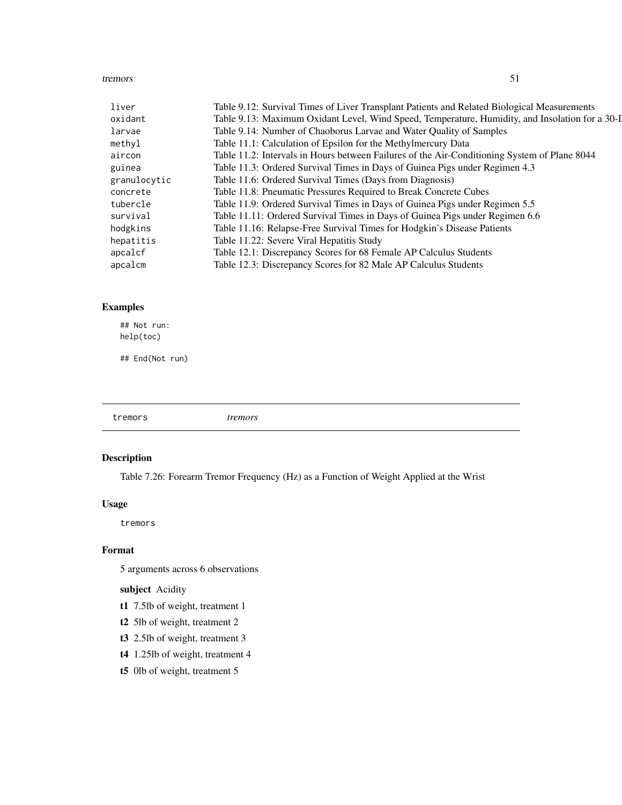#### <span id="page-50-0"></span>tremors 51

| liver        | Table 9.12: Survival Times of Liver Transplant Patients and Related Biological Measurements     |
|--------------|-------------------------------------------------------------------------------------------------|
| oxidant      | Table 9.13: Maximum Oxidant Level, Wind Speed, Temperature, Humidity, and Insolation for a 30-I |
| larvae       | Table 9.14: Number of Chaoborus Larvae and Water Quality of Samples                             |
| methyl       | Table 11.1: Calculation of Epsilon for the Methylmercury Data                                   |
| aircon       | Table 11.2: Intervals in Hours between Failures of the Air-Conditioning System of Plane 8044    |
| guinea       | Table 11.3: Ordered Survival Times in Days of Guinea Pigs under Regimen 4.3                     |
| granulocytic | Table 11.6: Ordered Survival Times (Days from Diagnosis)                                        |
| concrete     | Table 11.8: Pneumatic Pressures Required to Break Concrete Cubes                                |
| tubercle     | Table 11.9: Ordered Survival Times in Days of Guinea Pigs under Regimen 5.5                     |
| survival     | Table 11.11: Ordered Survival Times in Days of Guinea Pigs under Regimen 6.6                    |
| hodgkins     | Table 11.16: Relapse-Free Survival Times for Hodgkin's Disease Patients                         |
| hepatitis    | Table 11.22: Severe Viral Hepatitis Study                                                       |
| apcalcf      | Table 12.1: Discrepancy Scores for 68 Female AP Calculus Students                               |
| apcalcm      | Table 12.3: Discrepancy Scores for 82 Male AP Calculus Students                                 |

# Examples

## Not run: help(toc)

## End(Not run)

tremors *tremors*

# Description

Table 7.26: Forearm Tremor Frequency (Hz) as a Function of Weight Applied at the Wrist

# Usage

tremors

#### Format

5 arguments across 6 observations

subject Acidity

- t1 7.5lb of weight, treatment 1
- t2 5lb of weight, treatment 2
- t3 2.5lb of weight, treatment 3
- t4 1.25lb of weight, treatment 4
- t5 0lb of weight, treatment 5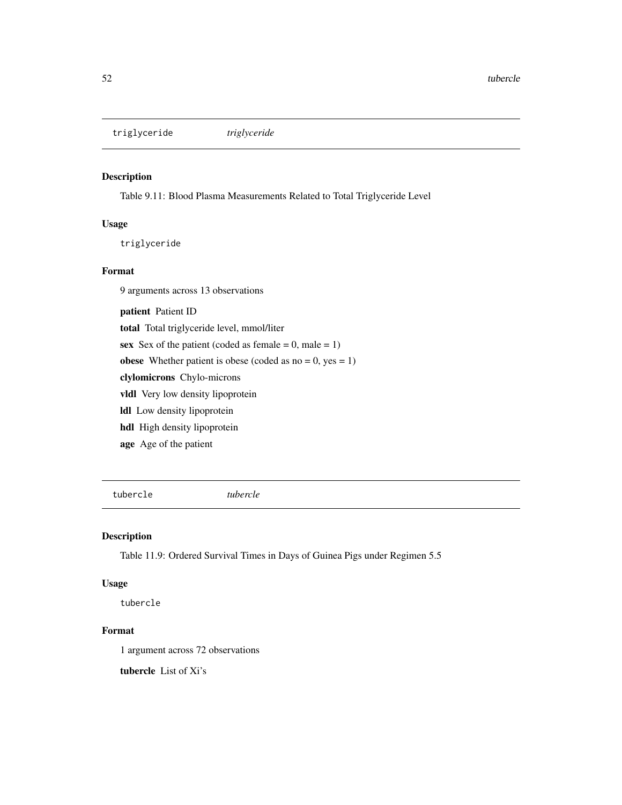<span id="page-51-0"></span>triglyceride *triglyceride*

#### Description

Table 9.11: Blood Plasma Measurements Related to Total Triglyceride Level

# Usage

triglyceride

#### Format

9 arguments across 13 observations

patient Patient ID total Total triglyceride level, mmol/liter sex Sex of the patient (coded as female  $= 0$ , male  $= 1$ ) obese Whether patient is obese (coded as  $no = 0$ ,  $yes = 1$ ) clylomicrons Chylo-microns vldl Very low density lipoprotein ldl Low density lipoprotein hdl High density lipoprotein age Age of the patient

tubercle *tubercle*

# Description

Table 11.9: Ordered Survival Times in Days of Guinea Pigs under Regimen 5.5

#### Usage

tubercle

#### Format

1 argument across 72 observations

tubercle List of Xi's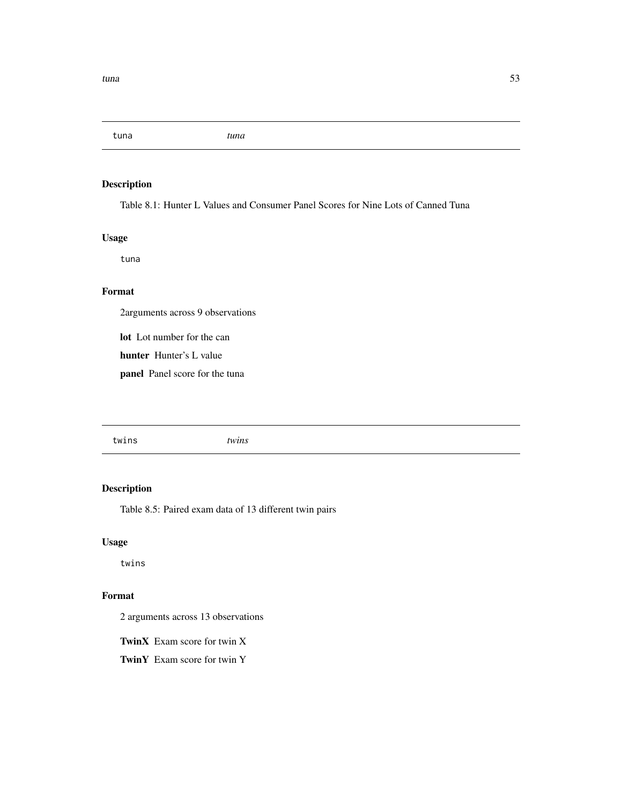<span id="page-52-0"></span>tuna *tuna*

# Description

Table 8.1: Hunter L Values and Consumer Panel Scores for Nine Lots of Canned Tuna

# Usage

tuna

# Format

2arguments across 9 observations

lot Lot number for the can

hunter Hunter's L value

panel Panel score for the tuna

# Description

Table 8.5: Paired exam data of 13 different twin pairs

# Usage

twins

#### Format

2 arguments across 13 observations

TwinX Exam score for twin X

TwinY Exam score for twin Y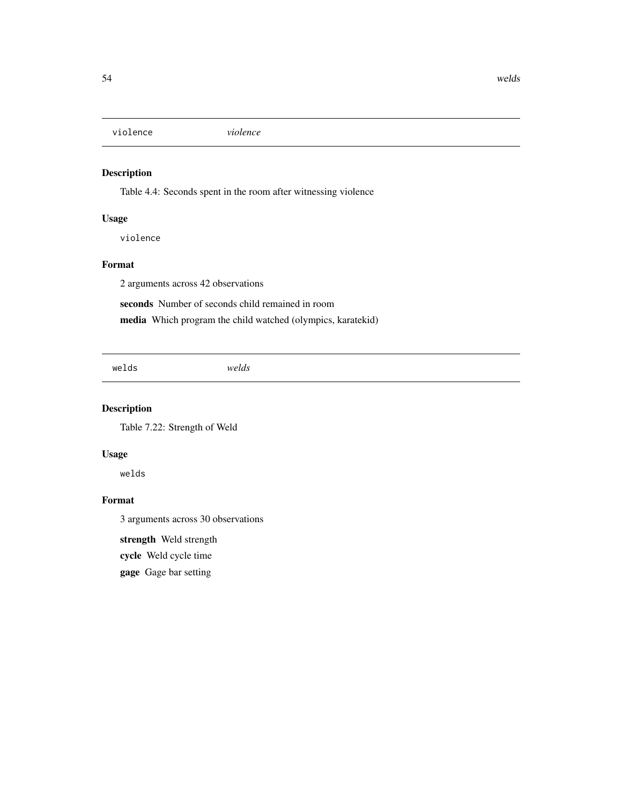<span id="page-53-0"></span>violence *violence*

# Description

Table 4.4: Seconds spent in the room after witnessing violence

# Usage

violence

# Format

2 arguments across 42 observations

seconds Number of seconds child remained in room

media Which program the child watched (olympics, karatekid)

welds *welds*

# Description

Table 7.22: Strength of Weld

# Usage

welds

# Format

3 arguments across 30 observations

strength Weld strength

cycle Weld cycle time

gage Gage bar setting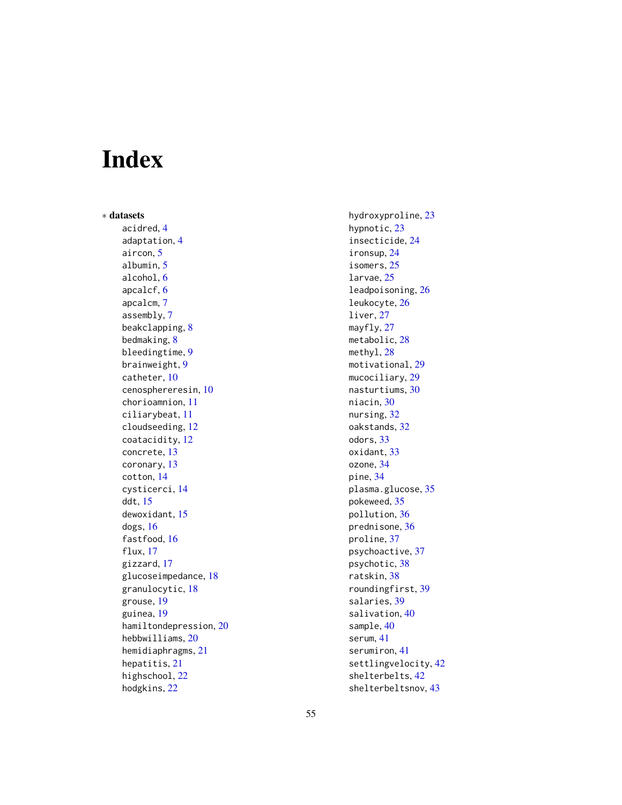# <span id="page-54-0"></span>Index

∗ datasets acidred, [4](#page-3-0) adaptation, [4](#page-3-0) aircon, [5](#page-4-0) albumin, [5](#page-4-0) alcohol, [6](#page-5-0) apcalcf, [6](#page-5-0) apcalcm, [7](#page-6-0) assembly, [7](#page-6-0) beakclapping, [8](#page-7-0) bedmaking, [8](#page-7-0) bleedingtime, [9](#page-8-0) brainweight, [9](#page-8-0) catheter, [10](#page-9-0) cenosphereresin, [10](#page-9-0) chorioamnion, [11](#page-10-0) ciliarybeat, [11](#page-10-0) cloudseeding, [12](#page-11-0) coatacidity, [12](#page-11-0) concrete, [13](#page-12-0) coronary, [13](#page-12-0) cotton, [14](#page-13-0) cysticerci, [14](#page-13-0) ddt, [15](#page-14-0) dewoxidant, [15](#page-14-0) dogs, [16](#page-15-0) fastfood, [16](#page-15-0) flux, [17](#page-16-0) gizzard, [17](#page-16-0) glucoseimpedance, [18](#page-17-0) granulocytic, [18](#page-17-0) grouse, [19](#page-18-0) guinea, [19](#page-18-0) hamiltondepression, [20](#page-19-0) hebbwilliams, [20](#page-19-0) hemidiaphragms, [21](#page-20-0) hepatitis, [21](#page-20-0) highschool, [22](#page-21-0) hodgkins, [22](#page-21-0)

hydroxyproline, [23](#page-22-0) hypnotic, [23](#page-22-0) insecticide, [24](#page-23-0) ironsup, [24](#page-23-0) isomers, [25](#page-24-0) larvae, [25](#page-24-0) leadpoisoning, [26](#page-25-0) leukocyte, [26](#page-25-0) liver, [27](#page-26-0) mayfly, [27](#page-26-0) metabolic, [28](#page-27-0) methyl, [28](#page-27-0) motivational, [29](#page-28-0) mucociliary, [29](#page-28-0) nasturtiums, [30](#page-29-0) niacin, [30](#page-29-0) nursing, [32](#page-31-0) oakstands, [32](#page-31-0) odors, [33](#page-32-0) oxidant, [33](#page-32-0) ozone, [34](#page-33-0) pine, [34](#page-33-0) plasma.glucose, [35](#page-34-0) pokeweed, [35](#page-34-0) pollution, [36](#page-35-0) prednisone, [36](#page-35-0) proline, [37](#page-36-0) psychoactive, [37](#page-36-0) psychotic, [38](#page-37-0) ratskin, [38](#page-37-0) roundingfirst, [39](#page-38-0) salaries, [39](#page-38-0) salivation, [40](#page-39-0) sample, [40](#page-39-0) serum, [41](#page-40-0) serumiron, [41](#page-40-0) settlingvelocity, [42](#page-41-0) shelterbelts, [42](#page-41-0) shelterbeltsnov, [43](#page-42-0)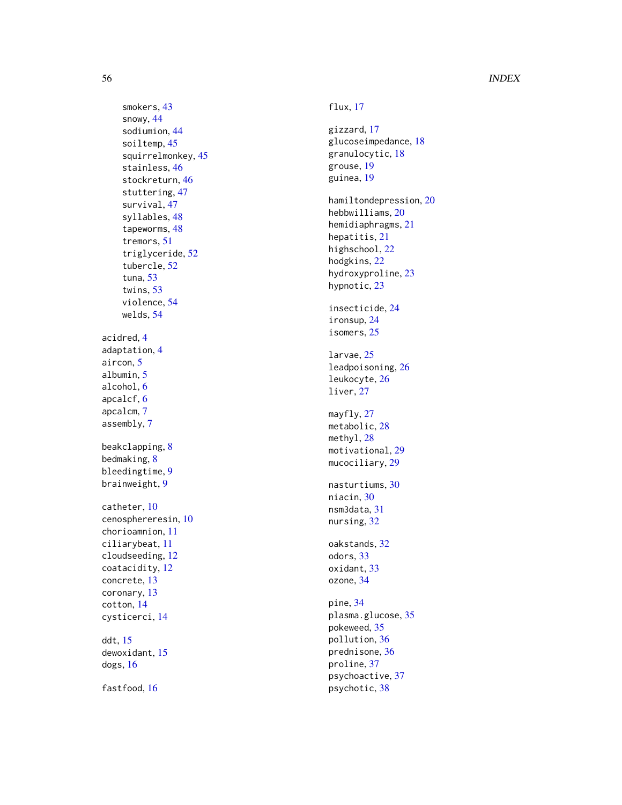```
smokers
, 43
    snowy
, 44
    sodiumion
, 44
    soiltemp
, 45
    squirrelmonkey
, 45
    stainless
, 46
    stockreturn
, 46
    stuttering
, 47
    survival
, 47
    syllables
, 48
    tapeworms
, 48
    tremors
, 51
    triglyceride
, 52
    tubercle
, 52
    tuna
, 53
    53
    violence
, 54
    welds
, 54
acidred
,
4
adaptation
,
4
5</mark>
5
alcohol
,
6
apcalcf
,
6
apcalcm
,
7
assembly
,
7
8</mark>
8
bleedingtime
,
9
brainweight
,
9
catheter
, 10
cenosphereresin
, 10
chorioamnion
, 11
ciliarybeat
, 11
cloudseeding
, 12
coatacidity
, 12
concrete
, 13
coronary
, 13
cotton
, 14
cysticerci
, 14
ddt
, 15
dewoxidant
, 15
dogs
, 16
```
fastfood , [16](#page-15-0)

flux , [17](#page-16-0) gizzard , [17](#page-16-0) glucoseimpedance , [18](#page-17-0) granulocytic , [18](#page-17-0) grouse , [19](#page-18-0) guinea, 1<mark>9</mark> hamiltondepression , [20](#page-19-0) hebbwilliams , [20](#page-19-0) hemidiaphragms , [21](#page-20-0) hepatitis , [21](#page-20-0) highschool , [22](#page-21-0) hodgkins , [22](#page-21-0) hydroxyproline , [23](#page-22-0) hypnotic, [23](#page-22-0) insecticide , [24](#page-23-0) ironsup , [24](#page-23-0) isomers , [25](#page-24-0) larvae , [25](#page-24-0) leadpoisoning , [26](#page-25-0) leukocyte , [26](#page-25-0) liver , [27](#page-26-0) mayfly, [27](#page-26-0) metabolic, [28](#page-27-0) methyl, [28](#page-27-0) motivational, $29\,$  $29\,$ mucociliary, [29](#page-28-0) nasturtiums , [30](#page-29-0) niacin, [30](#page-29-0) nsm3data , [31](#page-30-0) nursing, [32](#page-31-0) oakstands , [32](#page-31-0) odors , [33](#page-32-0) oxidant , [33](#page-32-0) ozone , [34](#page-33-0) pine , [34](#page-33-0) plasma.glucose, [35](#page-34-0) pokeweed , [35](#page-34-0) pollution , [36](#page-35-0) prednisone , [36](#page-35-0) proline , [37](#page-36-0) psychoactive , [37](#page-36-0) psychotic , [38](#page-37-0)